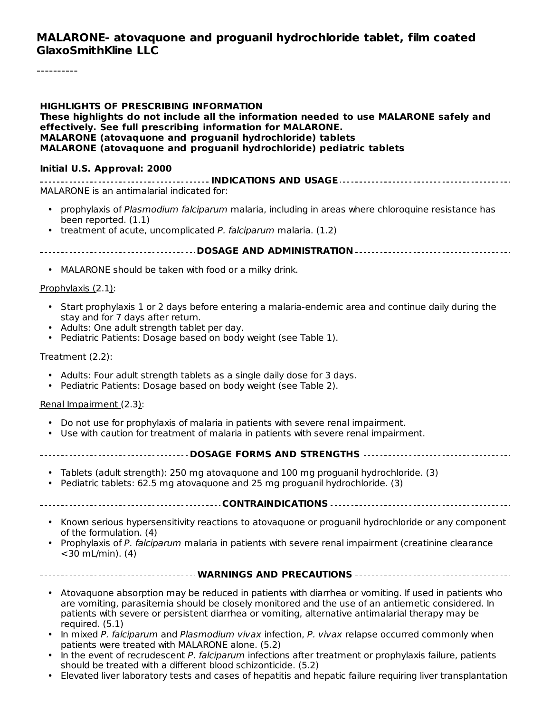#### **MALARONE- atovaquone and proguanil hydrochloride tablet, film coated GlaxoSmithKline LLC**

#### **HIGHLIGHTS OF PRESCRIBING INFORMATION These highlights do not include all the information needed to use MALARONE safely and effectively. See full prescribing information for MALARONE. MALARONE (atovaquone and proguanil hydrochloride) tablets MALARONE (atovaquone and proguanil hydrochloride) pediatric tablets**

#### **Initial U.S. Approval: 2000**

**INDICATIONS AND USAGE** MALARONE is an antimalarial indicated for:

- prophylaxis of Plasmodium falciparum malaria, including in areas where chloroquine resistance has been reported. (1.1)
- treatment of acute, uncomplicated P. falciparum malaria. (1.2)

**DOSAGE AND ADMINISTRATION**

• MALARONE should be taken with food or a milky drink.

#### Prophylaxis (2.1):

- Start prophylaxis 1 or 2 days before entering a malaria-endemic area and continue daily during the stay and for 7 days after return.
- Adults: One adult strength tablet per day.
- Pediatric Patients: Dosage based on body weight (see Table 1).

#### Treatment (2.2):

- Adults: Four adult strength tablets as a single daily dose for 3 days.
- Pediatric Patients: Dosage based on body weight (see Table 2).

#### Renal Impairment (2.3):

- Do not use for prophylaxis of malaria in patients with severe renal impairment.
- Use with caution for treatment of malaria in patients with severe renal impairment.

#### **DOSAGE FORMS AND STRENGTHS**

- Tablets (adult strength): 250 mg atovaquone and 100 mg proguanil hydrochloride. (3)
- Pediatric tablets: 62.5 mg atovaquone and 25 mg proguanil hydrochloride. (3)
- **CONTRAINDICATIONS**
	- Known serious hypersensitivity reactions to atovaquone or proguanil hydrochloride or any component of the formulation. (4)
	- Prophylaxis of P. falciparum malaria in patients with severe renal impairment (creatinine clearance  $<$ 30 mL/min). (4)

#### **WARNINGS AND PRECAUTIONS**

- Atovaquone absorption may be reduced in patients with diarrhea or vomiting. If used in patients who are vomiting, parasitemia should be closely monitored and the use of an antiemetic considered. In patients with severe or persistent diarrhea or vomiting, alternative antimalarial therapy may be required. (5.1)
- In mixed P. falciparum and Plasmodium vivax infection, P. vivax relapse occurred commonly when patients were treated with MALARONE alone. (5.2)
- In the event of recrudescent P. falciparum infections after treatment or prophylaxis failure, patients should be treated with a different blood schizonticide. (5.2)
- Elevated liver laboratory tests and cases of hepatitis and hepatic failure requiring liver transplantation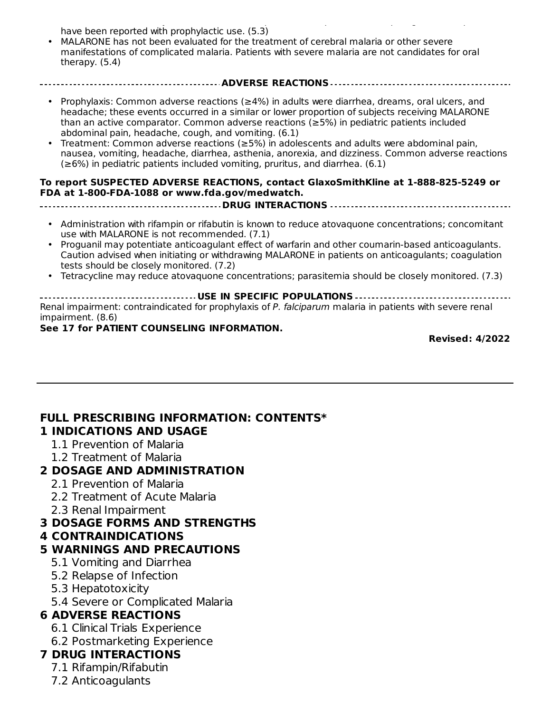Elevated liver laboratory tests and cases of hepatitis and hepatic failure requiring liver transplantation have been reported with prophylactic use. (5.3)

- MALARONE has not been evaluated for the treatment of cerebral malaria or other severe manifestations of complicated malaria. Patients with severe malaria are not candidates for oral therapy. (5.4)
- Prophylaxis: Common adverse reactions (≥4%) in adults were diarrhea, dreams, oral ulcers, and headache; these events occurred in a similar or lower proportion of subjects receiving MALARONE than an active comparator. Common adverse reactions (≥5%) in pediatric patients included abdominal pain, headache, cough, and vomiting. (6.1)

**ADVERSE REACTIONS**

• Treatment: Common adverse reactions (≥5%) in adolescents and adults were abdominal pain, nausea, vomiting, headache, diarrhea, asthenia, anorexia, and dizziness. Common adverse reactions  $(\geq 6\%)$  in pediatric patients included vomiting, pruritus, and diarrhea. (6.1)

#### **To report SUSPECTED ADVERSE REACTIONS, contact GlaxoSmithKline at 1-888-825-5249 or FDA at 1-800-FDA-1088 or www.fda.gov/medwatch. DRUG INTERACTIONS**

- Administration with rifampin or rifabutin is known to reduce atovaquone concentrations; concomitant use with MALARONE is not recommended. (7.1)
- Proguanil may potentiate anticoagulant effect of warfarin and other coumarin-based anticoagulants. Caution advised when initiating or withdrawing MALARONE in patients on anticoagulants; coagulation tests should be closely monitored. (7.2)
- Tetracycline may reduce atovaquone concentrations; parasitemia should be closely monitored. (7.3)

**USE IN SPECIFIC POPULATIONS** Renal impairment: contraindicated for prophylaxis of P. falciparum malaria in patients with severe renal impairment. (8.6)

**See 17 for PATIENT COUNSELING INFORMATION.**

**Revised: 4/2022**

#### **FULL PRESCRIBING INFORMATION: CONTENTS\* 1 INDICATIONS AND USAGE**

- 1.1 Prevention of Malaria
- 1.2 Treatment of Malaria

#### **2 DOSAGE AND ADMINISTRATION**

- 2.1 Prevention of Malaria
- 2.2 Treatment of Acute Malaria
- 2.3 Renal Impairment

#### **3 DOSAGE FORMS AND STRENGTHS**

#### **4 CONTRAINDICATIONS**

#### **5 WARNINGS AND PRECAUTIONS**

- 5.1 Vomiting and Diarrhea
- 5.2 Relapse of Infection
- 5.3 Hepatotoxicity
- 5.4 Severe or Complicated Malaria

#### **6 ADVERSE REACTIONS**

- 6.1 Clinical Trials Experience
- 6.2 Postmarketing Experience

### **7 DRUG INTERACTIONS**

- 7.1 Rifampin/Rifabutin
- 7.2 Anticoagulants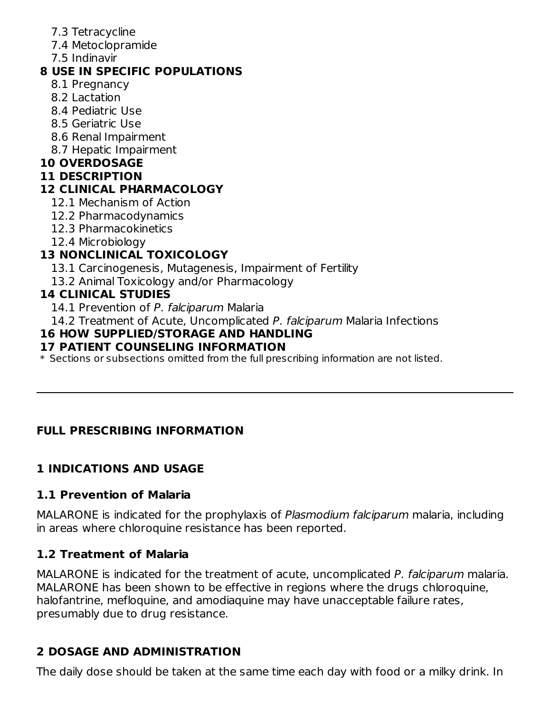- 7.3 Tetracycline
- 7.4 Metoclopramide
- 7.5 Indinavir

## **8 USE IN SPECIFIC POPULATIONS**

- 8.1 Pregnancy
- 8.2 Lactation
- 8.4 Pediatric Use
- 8.5 Geriatric Use
- 8.6 Renal Impairment
- 8.7 Hepatic Impairment

## **10 OVERDOSAGE**

## **11 DESCRIPTION**

## **12 CLINICAL PHARMACOLOGY**

- 12.1 Mechanism of Action
- 12.2 Pharmacodynamics
- 12.3 Pharmacokinetics
- 12.4 Microbiology

# **13 NONCLINICAL TOXICOLOGY**

- 13.1 Carcinogenesis, Mutagenesis, Impairment of Fertility
- 13.2 Animal Toxicology and/or Pharmacology

## **14 CLINICAL STUDIES**

- 14.1 Prevention of P. falciparum Malaria
- 14.2 Treatment of Acute, Uncomplicated P. falciparum Malaria Infections

## **16 HOW SUPPLIED/STORAGE AND HANDLING**

## **17 PATIENT COUNSELING INFORMATION**

 $\ast$  Sections or subsections omitted from the full prescribing information are not listed.

## **FULL PRESCRIBING INFORMATION**

## **1 INDICATIONS AND USAGE**

## **1.1 Prevention of Malaria**

MALARONE is indicated for the prophylaxis of Plasmodium falciparum malaria, including in areas where chloroquine resistance has been reported.

## **1.2 Treatment of Malaria**

MALARONE is indicated for the treatment of acute, uncomplicated P. falciparum malaria. MALARONE has been shown to be effective in regions where the drugs chloroquine, halofantrine, mefloquine, and amodiaquine may have unacceptable failure rates, presumably due to drug resistance.

## **2 DOSAGE AND ADMINISTRATION**

The daily dose should be taken at the same time each day with food or a milky drink. In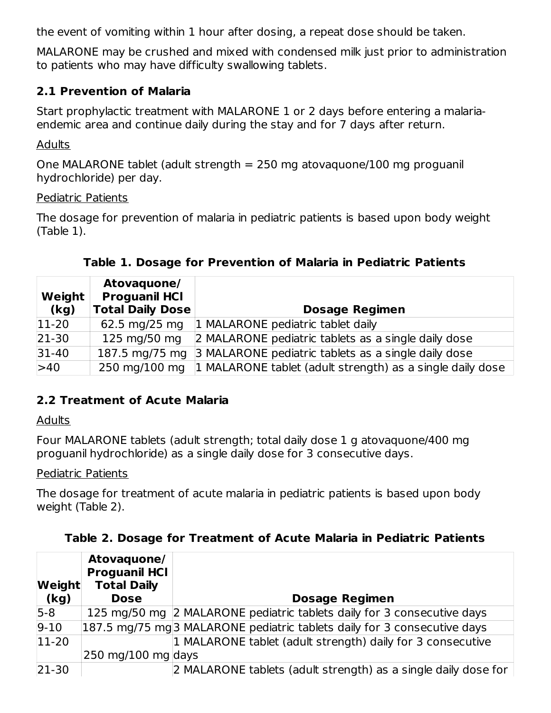the event of vomiting within 1 hour after dosing, a repeat dose should be taken.

MALARONE may be crushed and mixed with condensed milk just prior to administration to patients who may have difficulty swallowing tablets.

#### **2.1 Prevention of Malaria**

Start prophylactic treatment with MALARONE 1 or 2 days before entering a malariaendemic area and continue daily during the stay and for 7 days after return.

**Adults** 

One MALARONE tablet (adult strength  $= 250$  mg atovaguone/100 mg proguanil hydrochloride) per day.

#### Pediatric Patients

The dosage for prevention of malaria in pediatric patients is based upon body weight (Table 1).

| <b>Weight</b><br>(kg) | Atovaguone/<br><b>Proguanil HCI</b><br><b>Total Daily Dose</b> | <b>Dosage Regimen</b>                                                   |
|-----------------------|----------------------------------------------------------------|-------------------------------------------------------------------------|
| $ 11-20 $             | 62.5 mg/25 mg                                                  | 1 MALARONE pediatric tablet daily                                       |
| $ 21-30 $             | 125 mg/50 mg                                                   | 2 MALARONE pediatric tablets as a single daily dose                     |
| $31-40$               | 187.5 mg/75 mg                                                 | 3 MALARONE pediatric tablets as a single daily dose                     |
| >40                   |                                                                | 250 mg/100 mg 1 MALARONE tablet (adult strength) as a single daily dose |

### **Table 1. Dosage for Prevention of Malaria in Pediatric Patients**

### **2.2 Treatment of Acute Malaria**

#### Adults

Four MALARONE tablets (adult strength; total daily dose 1 g atovaquone/400 mg proguanil hydrochloride) as a single daily dose for 3 consecutive days.

#### Pediatric Patients

The dosage for treatment of acute malaria in pediatric patients is based upon body weight (Table 2).

|  |  | Table 2. Dosage for Treatment of Acute Malaria in Pediatric Patients |
|--|--|----------------------------------------------------------------------|
|  |  |                                                                      |

| Weight<br>(kg) | Atovaquone/<br><b>Proguanil HCI</b><br><b>Total Daily</b><br><b>Dose</b> | <b>Dosage Regimen</b>                                                    |
|----------------|--------------------------------------------------------------------------|--------------------------------------------------------------------------|
| $5-8$          |                                                                          | 125 mg/50 mg 2 MALARONE pediatric tablets daily for 3 consecutive days   |
| $9 - 10$       |                                                                          | 187.5 mg/75 mg 3 MALARONE pediatric tablets daily for 3 consecutive days |
| $ 11-20 $      |                                                                          | 1 MALARONE tablet (adult strength) daily for 3 consecutive               |
|                | 250 mg/100 mg days                                                       |                                                                          |
| $ 21-30 $      |                                                                          | 2 MALARONE tablets (adult strength) as a single daily dose for           |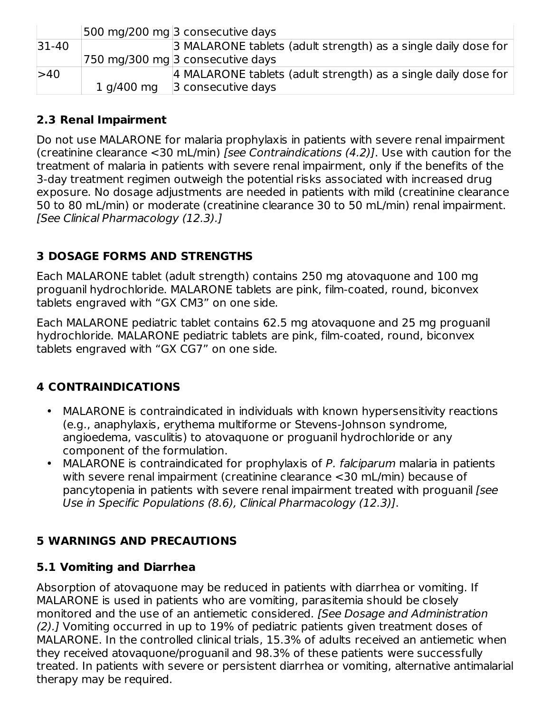|             |            | 500 mg/200 mg 3 consecutive days                               |
|-------------|------------|----------------------------------------------------------------|
| $ 31 - 40 $ |            | 3 MALARONE tablets (adult strength) as a single daily dose for |
|             |            | 750 mg/300 mg 3 consecutive days                               |
| >40         |            | 4 MALARONE tablets (adult strength) as a single daily dose for |
|             | 1 g/400 mg | 3 consecutive days                                             |

## **2.3 Renal Impairment**

Do not use MALARONE for malaria prophylaxis in patients with severe renal impairment (creatinine clearance <30 mL/min) [see Contraindications (4.2)]. Use with caution for the treatment of malaria in patients with severe renal impairment, only if the benefits of the 3-day treatment regimen outweigh the potential risks associated with increased drug exposure. No dosage adjustments are needed in patients with mild (creatinine clearance 50 to 80 mL/min) or moderate (creatinine clearance 30 to 50 mL/min) renal impairment. [See Clinical Pharmacology (12.3).]

## **3 DOSAGE FORMS AND STRENGTHS**

Each MALARONE tablet (adult strength) contains 250 mg atovaquone and 100 mg proguanil hydrochloride. MALARONE tablets are pink, film-coated, round, biconvex tablets engraved with "GX CM3" on one side.

Each MALARONE pediatric tablet contains 62.5 mg atovaquone and 25 mg proguanil hydrochloride. MALARONE pediatric tablets are pink, film-coated, round, biconvex tablets engraved with "GX CG7" on one side.

## **4 CONTRAINDICATIONS**

- MALARONE is contraindicated in individuals with known hypersensitivity reactions (e.g., anaphylaxis, erythema multiforme or Stevens-Johnson syndrome, angioedema, vasculitis) to atovaquone or proguanil hydrochloride or any component of the formulation.
- MALARONE is contraindicated for prophylaxis of P. falciparum malaria in patients with severe renal impairment (creatinine clearance <30 mL/min) because of pancytopenia in patients with severe renal impairment treated with proguanil [see Use in Specific Populations (8.6), Clinical Pharmacology (12.3)].

## **5 WARNINGS AND PRECAUTIONS**

### **5.1 Vomiting and Diarrhea**

Absorption of atovaquone may be reduced in patients with diarrhea or vomiting. If MALARONE is used in patients who are vomiting, parasitemia should be closely monitored and the use of an antiemetic considered. [See Dosage and Administration (2).] Vomiting occurred in up to 19% of pediatric patients given treatment doses of MALARONE. In the controlled clinical trials, 15.3% of adults received an antiemetic when they received atovaquone/proguanil and 98.3% of these patients were successfully treated. In patients with severe or persistent diarrhea or vomiting, alternative antimalarial therapy may be required.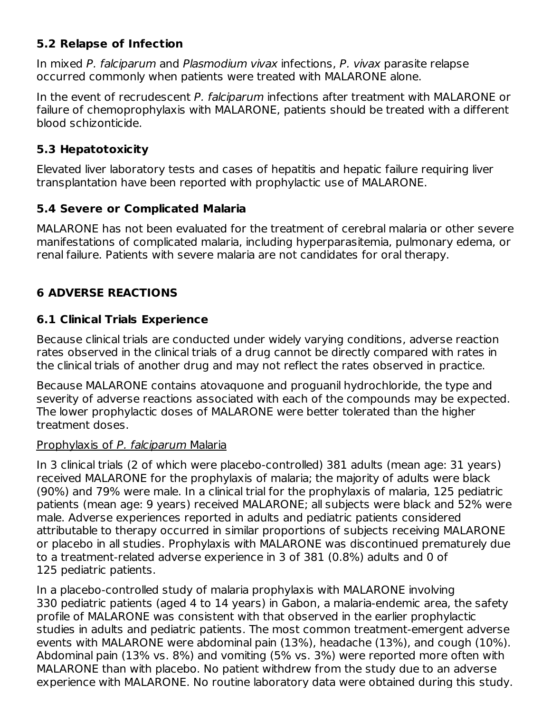### **5.2 Relapse of Infection**

In mixed P. falciparum and Plasmodium vivax infections, P. vivax parasite relapse occurred commonly when patients were treated with MALARONE alone.

In the event of recrudescent P. falciparum infections after treatment with MALARONE or failure of chemoprophylaxis with MALARONE, patients should be treated with a different blood schizonticide.

## **5.3 Hepatotoxicity**

Elevated liver laboratory tests and cases of hepatitis and hepatic failure requiring liver transplantation have been reported with prophylactic use of MALARONE.

## **5.4 Severe or Complicated Malaria**

MALARONE has not been evaluated for the treatment of cerebral malaria or other severe manifestations of complicated malaria, including hyperparasitemia, pulmonary edema, or renal failure. Patients with severe malaria are not candidates for oral therapy.

# **6 ADVERSE REACTIONS**

## **6.1 Clinical Trials Experience**

Because clinical trials are conducted under widely varying conditions, adverse reaction rates observed in the clinical trials of a drug cannot be directly compared with rates in the clinical trials of another drug and may not reflect the rates observed in practice.

Because MALARONE contains atovaquone and proguanil hydrochloride, the type and severity of adverse reactions associated with each of the compounds may be expected. The lower prophylactic doses of MALARONE were better tolerated than the higher treatment doses.

## Prophylaxis of P. falciparum Malaria

In 3 clinical trials (2 of which were placebo-controlled) 381 adults (mean age: 31 years) received MALARONE for the prophylaxis of malaria; the majority of adults were black (90%) and 79% were male. In a clinical trial for the prophylaxis of malaria, 125 pediatric patients (mean age: 9 years) received MALARONE; all subjects were black and 52% were male. Adverse experiences reported in adults and pediatric patients considered attributable to therapy occurred in similar proportions of subjects receiving MALARONE or placebo in all studies. Prophylaxis with MALARONE was discontinued prematurely due to a treatment-related adverse experience in 3 of 381 (0.8%) adults and 0 of 125 pediatric patients.

In a placebo-controlled study of malaria prophylaxis with MALARONE involving 330 pediatric patients (aged 4 to 14 years) in Gabon, a malaria-endemic area, the safety profile of MALARONE was consistent with that observed in the earlier prophylactic studies in adults and pediatric patients. The most common treatment-emergent adverse events with MALARONE were abdominal pain (13%), headache (13%), and cough (10%). Abdominal pain (13% vs. 8%) and vomiting (5% vs. 3%) were reported more often with MALARONE than with placebo. No patient withdrew from the study due to an adverse experience with MALARONE. No routine laboratory data were obtained during this study.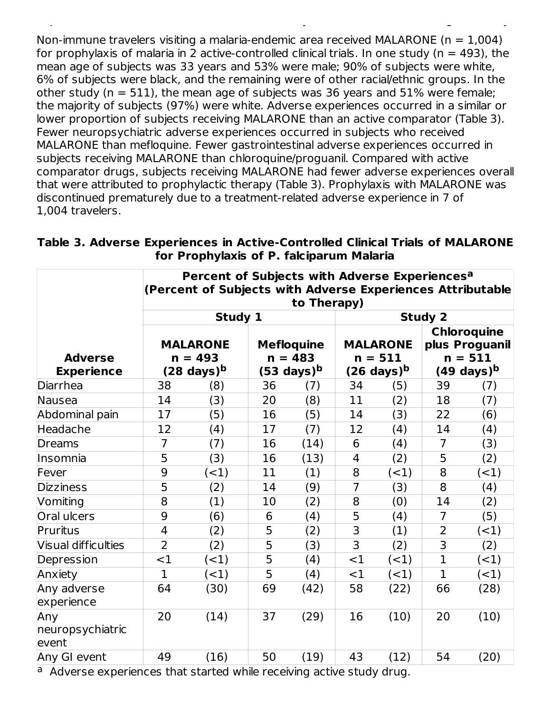Non-immune travelers visiting a malaria-endemic area received MALARONE ( $n = 1,004$ ) for prophylaxis of malaria in 2 active-controlled clinical trials. In one study ( $n = 493$ ), the mean age of subjects was 33 years and 53% were male; 90% of subjects were white, 6% of subjects were black, and the remaining were of other racial/ethnic groups. In the other study ( $n = 511$ ), the mean age of subjects was 36 years and 51% were female; the majority of subjects (97%) were white. Adverse experiences occurred in a similar or lower proportion of subjects receiving MALARONE than an active comparator (Table 3). Fewer neuropsychiatric adverse experiences occurred in subjects who received MALARONE than mefloquine. Fewer gastrointestinal adverse experiences occurred in subjects receiving MALARONE than chloroquine/proguanil. Compared with active comparator drugs, subjects receiving MALARONE had fewer adverse experiences overall that were attributed to prophylactic therapy (Table 3). Prophylaxis with MALARONE was discontinued prematurely due to a treatment-related adverse experience in 7 of 1,004 travelers.

experience with MALARONE. No routine laboratory data were obtained during this study.

| Table 3. Adverse Experiences in Active-Controlled Clinical Trials of MALARONE |                                          |  |  |
|-------------------------------------------------------------------------------|------------------------------------------|--|--|
|                                                                               | for Prophylaxis of P. falciparum Malaria |  |  |

| Percent of Subjects with Adverse Experiences <sup>a</sup><br>(Percent of Subjects with Adverse Experiences Attributable)<br>to Therapy) |                |                              |    |                                |                |                              |                |                                                   |
|-----------------------------------------------------------------------------------------------------------------------------------------|----------------|------------------------------|----|--------------------------------|----------------|------------------------------|----------------|---------------------------------------------------|
|                                                                                                                                         |                | Study 1                      |    |                                |                |                              | <b>Study 2</b> |                                                   |
| <b>Adverse</b>                                                                                                                          |                | <b>MALARONE</b><br>$n = 493$ |    | <b>Mefloquine</b><br>$n = 483$ |                | <b>MALARONE</b><br>$n = 511$ |                | <b>Chloroquine</b><br>plus Proguanil<br>$n = 511$ |
| <b>Experience</b>                                                                                                                       |                | (28 days) <sup>b</sup>       |    | $(53 \text{ days})^b$          |                | (26 days) <sup>b</sup>       |                | (49 days) <sup>b</sup>                            |
| Diarrhea                                                                                                                                | 38             | (8)                          | 36 | (7)                            | 34             | (5)                          | 39             | (7)                                               |
| Nausea                                                                                                                                  | 14             | (3)                          | 20 | (8)                            | 11             | (2)                          | 18             | (7)                                               |
| Abdominal pain                                                                                                                          | 17             | (5)                          | 16 | (5)                            | 14             | (3)                          | 22             | (6)                                               |
| Headache                                                                                                                                | 12             | (4)                          | 17 | (7)                            | 12             | (4)                          | 14             | (4)                                               |
| Dreams                                                                                                                                  | $\overline{7}$ | (7)                          | 16 | (14)                           | 6              | (4)                          | $\overline{7}$ | (3)                                               |
| Insomnia                                                                                                                                | 5              | (3)                          | 16 | (13)                           | 4              | (2)                          | 5              | (2)                                               |
| Fever                                                                                                                                   | 9              | $<$ 1)                       | 11 | (1)                            | 8              | $(-1)$                       | 8              | $(-1)$                                            |
| <b>Dizziness</b>                                                                                                                        | 5              | (2)                          | 14 | (9)                            | $\overline{7}$ | (3)                          | 8              | (4)                                               |
| Vomiting                                                                                                                                | 8              | (1)                          | 10 | (2)                            | 8              | (0)                          | 14             | (2)                                               |
| Oral ulcers                                                                                                                             | 9              | (6)                          | 6  | (4)                            | 5              | (4)                          | $\overline{7}$ | (5)                                               |
| Pruritus                                                                                                                                | $\overline{4}$ | (2)                          | 5  | (2)                            | 3              | (1)                          | $\overline{2}$ | $(-1)$                                            |
| Visual difficulties                                                                                                                     | $\overline{2}$ | (2)                          | 5  | (3)                            | 3              | (2)                          | 3              | (2)                                               |
| Depression                                                                                                                              | $<$ 1          | $\leq$ 1)                    | 5  | (4)                            | <1             | $(-1)$                       | $\mathbf{1}$   | $($ < 1 $)$                                       |
| Anxiety                                                                                                                                 | $\mathbf{1}$   | $<$ 1)                       | 5  | (4)                            | <1             | $(-1)$                       | $\mathbf{1}$   | $(-1)$                                            |
| Any adverse<br>experience                                                                                                               | 64             | (30)                         | 69 | (42)                           | 58             | (22)                         | 66             | (28)                                              |
| Any<br>neuropsychiatric<br>event                                                                                                        | 20             | (14)                         | 37 | (29)                           | 16             | (10)                         | 20             | (10)                                              |
| Any GI event<br>2. A di cono e localizzazione della bibliotta di citatto di conocitati e la bibliotta di colori di c                    | 49             | (16)                         | 50 | (19)                           | 43             | (12)                         | 54             | (20)                                              |

<sup>a</sup> Adverse experiences that started while receiving active study drug.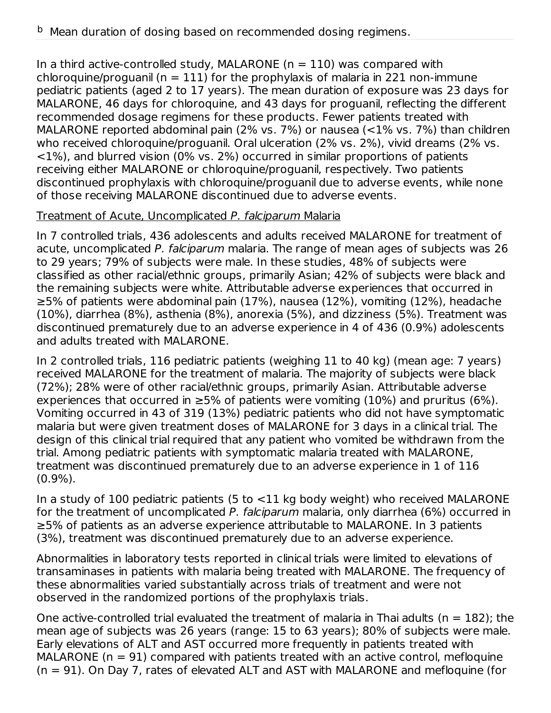In a third active-controlled study, MALARONE ( $n = 110$ ) was compared with chloroquine/proguanil ( $n = 111$ ) for the prophylaxis of malaria in 221 non-immune pediatric patients (aged 2 to 17 years). The mean duration of exposure was 23 days for MALARONE, 46 days for chloroquine, and 43 days for proguanil, reflecting the different recommended dosage regimens for these products. Fewer patients treated with MALARONE reported abdominal pain (2% vs. 7%) or nausea (<1% vs. 7%) than children who received chloroquine/proguanil. Oral ulceration (2% vs. 2%), vivid dreams (2% vs. <1%), and blurred vision (0% vs. 2%) occurred in similar proportions of patients receiving either MALARONE or chloroquine/proguanil, respectively. Two patients discontinued prophylaxis with chloroquine/proguanil due to adverse events, while none of those receiving MALARONE discontinued due to adverse events.

#### Treatment of Acute, Uncomplicated P. falciparum Malaria

In 7 controlled trials, 436 adolescents and adults received MALARONE for treatment of acute, uncomplicated P. falciparum malaria. The range of mean ages of subjects was 26 to 29 years; 79% of subjects were male. In these studies, 48% of subjects were classified as other racial/ethnic groups, primarily Asian; 42% of subjects were black and the remaining subjects were white. Attributable adverse experiences that occurred in ≥5% of patients were abdominal pain (17%), nausea (12%), vomiting (12%), headache (10%), diarrhea (8%), asthenia (8%), anorexia (5%), and dizziness (5%). Treatment was discontinued prematurely due to an adverse experience in 4 of 436 (0.9%) adolescents and adults treated with MALARONE.

In 2 controlled trials, 116 pediatric patients (weighing 11 to 40 kg) (mean age: 7 years) received MALARONE for the treatment of malaria. The majority of subjects were black (72%); 28% were of other racial/ethnic groups, primarily Asian. Attributable adverse experiences that occurred in  $\geq$ 5% of patients were vomiting (10%) and pruritus (6%). Vomiting occurred in 43 of 319 (13%) pediatric patients who did not have symptomatic malaria but were given treatment doses of MALARONE for 3 days in a clinical trial. The design of this clinical trial required that any patient who vomited be withdrawn from the trial. Among pediatric patients with symptomatic malaria treated with MALARONE, treatment was discontinued prematurely due to an adverse experience in 1 of 116 (0.9%).

In a study of 100 pediatric patients (5 to <11 kg body weight) who received MALARONE for the treatment of uncomplicated P. falciparum malaria, only diarrhea (6%) occurred in ≥5% of patients as an adverse experience attributable to MALARONE. In 3 patients (3%), treatment was discontinued prematurely due to an adverse experience.

Abnormalities in laboratory tests reported in clinical trials were limited to elevations of transaminases in patients with malaria being treated with MALARONE. The frequency of these abnormalities varied substantially across trials of treatment and were not observed in the randomized portions of the prophylaxis trials.

One active-controlled trial evaluated the treatment of malaria in Thai adults ( $n = 182$ ); the mean age of subjects was 26 years (range: 15 to 63 years); 80% of subjects were male. Early elevations of ALT and AST occurred more frequently in patients treated with MALARONE ( $n = 91$ ) compared with patients treated with an active control, mefloquine (n = 91). On Day 7, rates of elevated ALT and AST with MALARONE and mefloquine (for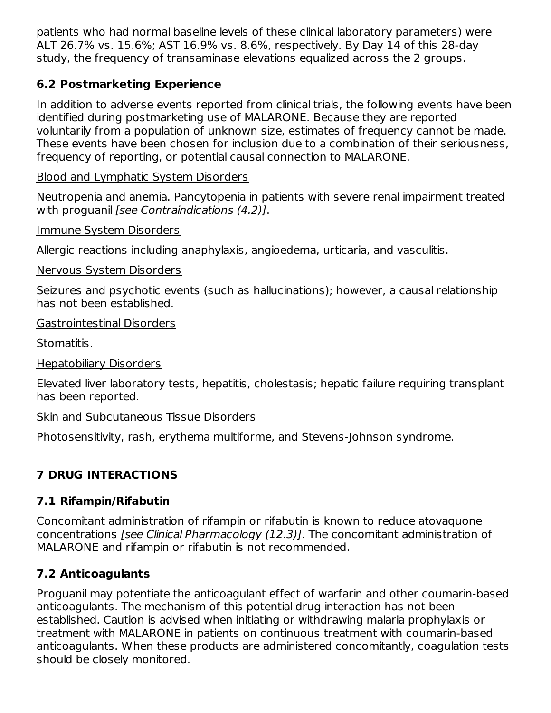patients who had normal baseline levels of these clinical laboratory parameters) were ALT 26.7% vs. 15.6%; AST 16.9% vs. 8.6%, respectively. By Day 14 of this 28‑day study, the frequency of transaminase elevations equalized across the 2 groups.

## **6.2 Postmarketing Experience**

In addition to adverse events reported from clinical trials, the following events have been identified during postmarketing use of MALARONE. Because they are reported voluntarily from a population of unknown size, estimates of frequency cannot be made. These events have been chosen for inclusion due to a combination of their seriousness, frequency of reporting, or potential causal connection to MALARONE.

Blood and Lymphatic System Disorders

Neutropenia and anemia. Pancytopenia in patients with severe renal impairment treated with proguanil *[see Contraindications (4.2)]*.

Immune System Disorders

Allergic reactions including anaphylaxis, angioedema, urticaria, and vasculitis.

Nervous System Disorders

Seizures and psychotic events (such as hallucinations); however, a causal relationship has not been established.

Gastrointestinal Disorders

Stomatitis.

Hepatobiliary Disorders

Elevated liver laboratory tests, hepatitis, cholestasis; hepatic failure requiring transplant has been reported.

Skin and Subcutaneous Tissue Disorders

Photosensitivity, rash, erythema multiforme, and Stevens-Johnson syndrome.

# **7 DRUG INTERACTIONS**

## **7.1 Rifampin/Rifabutin**

Concomitant administration of rifampin or rifabutin is known to reduce atovaquone concentrations [see Clinical Pharmacology (12.3)]. The concomitant administration of MALARONE and rifampin or rifabutin is not recommended.

## **7.2 Anticoagulants**

Proguanil may potentiate the anticoagulant effect of warfarin and other coumarin-based anticoagulants. The mechanism of this potential drug interaction has not been established. Caution is advised when initiating or withdrawing malaria prophylaxis or treatment with MALARONE in patients on continuous treatment with coumarin-based anticoagulants. When these products are administered concomitantly, coagulation tests should be closely monitored.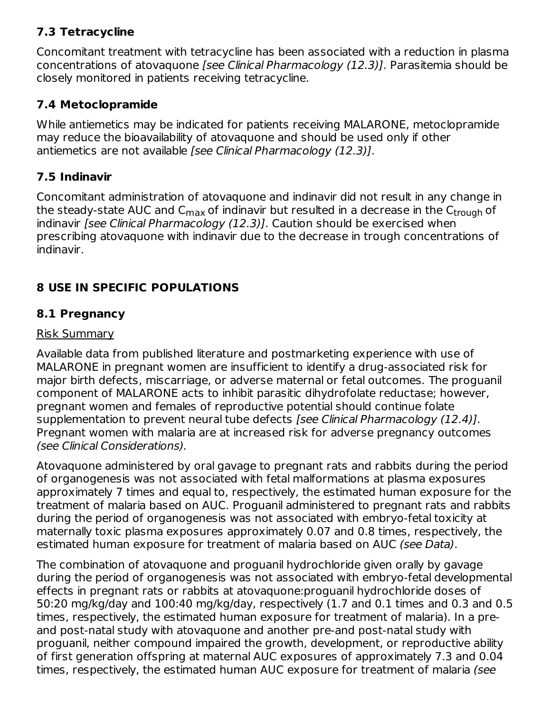## **7.3 Tetracycline**

Concomitant treatment with tetracycline has been associated with a reduction in plasma concentrations of atovaquone [see Clinical Pharmacology (12.3)]. Parasitemia should be closely monitored in patients receiving tetracycline.

## **7.4 Metoclopramide**

While antiemetics may be indicated for patients receiving MALARONE, metoclopramide may reduce the bioavailability of atovaquone and should be used only if other antiemetics are not available [see Clinical Pharmacology (12.3)].

## **7.5 Indinavir**

Concomitant administration of atovaquone and indinavir did not result in any change in the steady-state AUC and C<sub>max</sub> of indinavir but resulted in a decrease in the C<sub>trough</sub> of indinavir [see Clinical Pharmacology (12.3)]. Caution should be exercised when prescribing atovaquone with indinavir due to the decrease in trough concentrations of indinavir.

# **8 USE IN SPECIFIC POPULATIONS**

## **8.1 Pregnancy**

## Risk Summary

Available data from published literature and postmarketing experience with use of MALARONE in pregnant women are insufficient to identify a drug-associated risk for major birth defects, miscarriage, or adverse maternal or fetal outcomes. The proguanil component of MALARONE acts to inhibit parasitic dihydrofolate reductase; however, pregnant women and females of reproductive potential should continue folate supplementation to prevent neural tube defects [see Clinical Pharmacology (12.4)]. Pregnant women with malaria are at increased risk for adverse pregnancy outcomes (see Clinical Considerations).

Atovaquone administered by oral gavage to pregnant rats and rabbits during the period of organogenesis was not associated with fetal malformations at plasma exposures approximately 7 times and equal to, respectively, the estimated human exposure for the treatment of malaria based on AUC. Proguanil administered to pregnant rats and rabbits during the period of organogenesis was not associated with embryo-fetal toxicity at maternally toxic plasma exposures approximately 0.07 and 0.8 times, respectively, the estimated human exposure for treatment of malaria based on AUC (see Data).

The combination of atovaquone and proguanil hydrochloride given orally by gavage during the period of organogenesis was not associated with embryo-fetal developmental effects in pregnant rats or rabbits at atovaquone:proguanil hydrochloride doses of 50:20 mg/kg/day and 100:40 mg/kg/day, respectively (1.7 and 0.1 times and 0.3 and 0.5 times, respectively, the estimated human exposure for treatment of malaria). In a preand post-natal study with atovaquone and another pre-and post-natal study with proguanil, neither compound impaired the growth, development, or reproductive ability of first generation offspring at maternal AUC exposures of approximately 7.3 and 0.04 times, respectively, the estimated human AUC exposure for treatment of malaria (see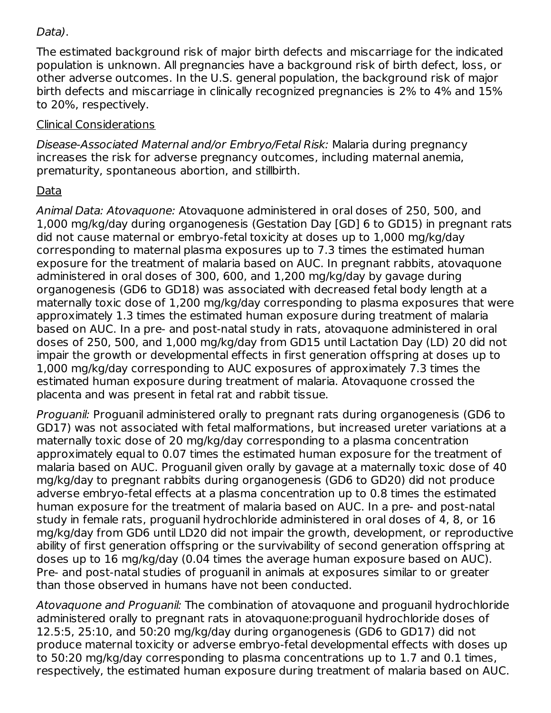#### Data).

The estimated background risk of major birth defects and miscarriage for the indicated population is unknown. All pregnancies have a background risk of birth defect, loss, or other adverse outcomes. In the U.S. general population, the background risk of major birth defects and miscarriage in clinically recognized pregnancies is 2% to 4% and 15% to 20%, respectively.

### Clinical Considerations

Disease-Associated Maternal and/or Embryo/Fetal Risk: Malaria during pregnancy increases the risk for adverse pregnancy outcomes, including maternal anemia, prematurity, spontaneous abortion, and stillbirth.

## Data

Animal Data: Atovaquone: Atovaquone administered in oral doses of 250, 500, and 1,000 mg/kg/day during organogenesis (Gestation Day [GD] 6 to GD15) in pregnant rats did not cause maternal or embryo-fetal toxicity at doses up to 1,000 mg/kg/day corresponding to maternal plasma exposures up to 7.3 times the estimated human exposure for the treatment of malaria based on AUC. In pregnant rabbits, atovaquone administered in oral doses of 300, 600, and 1,200 mg/kg/day by gavage during organogenesis (GD6 to GD18) was associated with decreased fetal body length at a maternally toxic dose of 1,200 mg/kg/day corresponding to plasma exposures that were approximately 1.3 times the estimated human exposure during treatment of malaria based on AUC. In a pre- and post-natal study in rats, atovaquone administered in oral doses of 250, 500, and 1,000 mg/kg/day from GD15 until Lactation Day (LD) 20 did not impair the growth or developmental effects in first generation offspring at doses up to 1,000 mg/kg/day corresponding to AUC exposures of approximately 7.3 times the estimated human exposure during treatment of malaria. Atovaquone crossed the placenta and was present in fetal rat and rabbit tissue.

Proguanil: Proguanil administered orally to pregnant rats during organogenesis (GD6 to GD17) was not associated with fetal malformations, but increased ureter variations at a maternally toxic dose of 20 mg/kg/day corresponding to a plasma concentration approximately equal to 0.07 times the estimated human exposure for the treatment of malaria based on AUC. Proguanil given orally by gavage at a maternally toxic dose of 40 mg/kg/day to pregnant rabbits during organogenesis (GD6 to GD20) did not produce adverse embryo-fetal effects at a plasma concentration up to 0.8 times the estimated human exposure for the treatment of malaria based on AUC. In a pre- and post-natal study in female rats, proguanil hydrochloride administered in oral doses of 4, 8, or 16 mg/kg/day from GD6 until LD20 did not impair the growth, development, or reproductive ability of first generation offspring or the survivability of second generation offspring at doses up to 16 mg/kg/day (0.04 times the average human exposure based on AUC). Pre- and post-natal studies of proguanil in animals at exposures similar to or greater than those observed in humans have not been conducted.

Atovaquone and Proguanil: The combination of atovaquone and proguanil hydrochloride administered orally to pregnant rats in atovaquone:proguanil hydrochloride doses of 12.5:5, 25:10, and 50:20 mg/kg/day during organogenesis (GD6 to GD17) did not produce maternal toxicity or adverse embryo-fetal developmental effects with doses up to 50:20 mg/kg/day corresponding to plasma concentrations up to 1.7 and 0.1 times, respectively, the estimated human exposure during treatment of malaria based on AUC.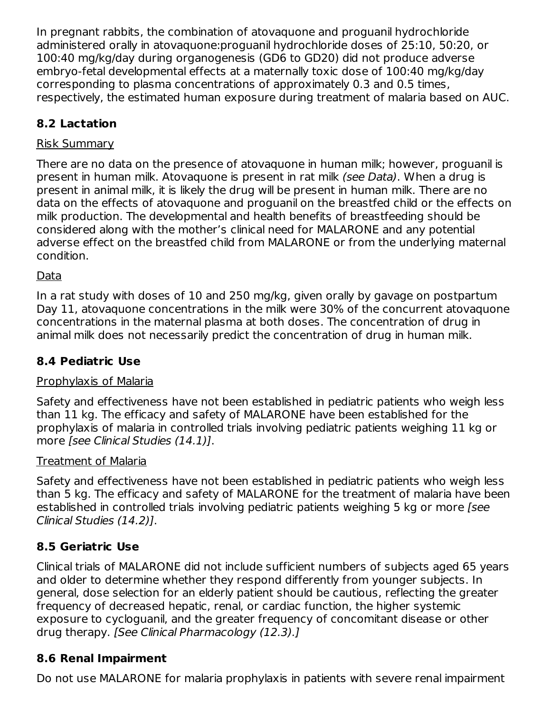In pregnant rabbits, the combination of atovaquone and proguanil hydrochloride administered orally in atovaquone:proguanil hydrochloride doses of 25:10, 50:20, or 100:40 mg/kg/day during organogenesis (GD6 to GD20) did not produce adverse embryo-fetal developmental effects at a maternally toxic dose of 100:40 mg/kg/day corresponding to plasma concentrations of approximately 0.3 and 0.5 times, respectively, the estimated human exposure during treatment of malaria based on AUC.

## **8.2 Lactation**

## Risk Summary

There are no data on the presence of atovaquone in human milk; however, proguanil is present in human milk. Atovaquone is present in rat milk (see Data). When a drug is present in animal milk, it is likely the drug will be present in human milk. There are no data on the effects of atovaquone and proguanil on the breastfed child or the effects on milk production. The developmental and health benefits of breastfeeding should be considered along with the mother's clinical need for MALARONE and any potential adverse effect on the breastfed child from MALARONE or from the underlying maternal condition.

## Data

In a rat study with doses of 10 and 250 mg/kg, given orally by gavage on postpartum Day 11, atovaquone concentrations in the milk were 30% of the concurrent atovaquone concentrations in the maternal plasma at both doses. The concentration of drug in animal milk does not necessarily predict the concentration of drug in human milk.

## **8.4 Pediatric Use**

### Prophylaxis of Malaria

Safety and effectiveness have not been established in pediatric patients who weigh less than 11 kg. The efficacy and safety of MALARONE have been established for the prophylaxis of malaria in controlled trials involving pediatric patients weighing 11 kg or more [see Clinical Studies (14.1)].

### Treatment of Malaria

Safety and effectiveness have not been established in pediatric patients who weigh less than 5 kg. The efficacy and safety of MALARONE for the treatment of malaria have been established in controlled trials involving pediatric patients weighing 5 kg or more (see Clinical Studies (14.2)].

## **8.5 Geriatric Use**

Clinical trials of MALARONE did not include sufficient numbers of subjects aged 65 years and older to determine whether they respond differently from younger subjects. In general, dose selection for an elderly patient should be cautious, reflecting the greater frequency of decreased hepatic, renal, or cardiac function, the higher systemic exposure to cycloguanil, and the greater frequency of concomitant disease or other drug therapy. [See Clinical Pharmacology (12.3).]

## **8.6 Renal Impairment**

Do not use MALARONE for malaria prophylaxis in patients with severe renal impairment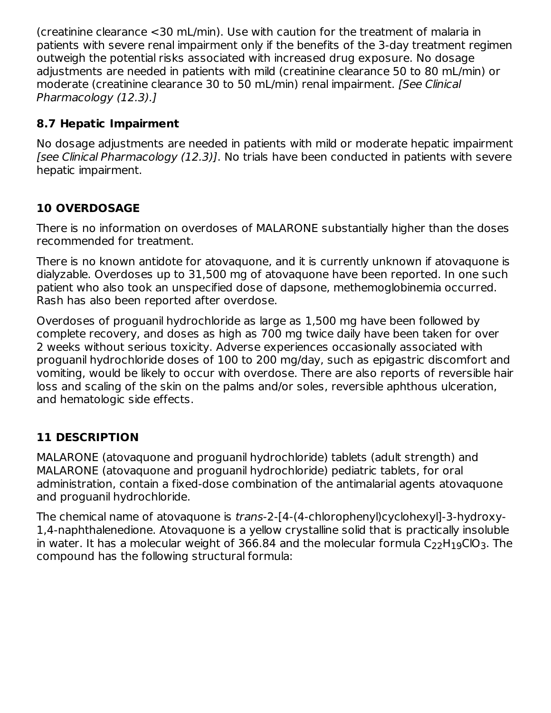(creatinine clearance <30 mL/min). Use with caution for the treatment of malaria in patients with severe renal impairment only if the benefits of the 3-day treatment regimen outweigh the potential risks associated with increased drug exposure. No dosage adjustments are needed in patients with mild (creatinine clearance 50 to 80 mL/min) or moderate (creatinine clearance 30 to 50 mL/min) renal impairment. [See Clinical Pharmacology (12.3).]

## **8.7 Hepatic Impairment**

No dosage adjustments are needed in patients with mild or moderate hepatic impairment [see Clinical Pharmacology (12.3)]. No trials have been conducted in patients with severe hepatic impairment.

## **10 OVERDOSAGE**

There is no information on overdoses of MALARONE substantially higher than the doses recommended for treatment.

There is no known antidote for atovaquone, and it is currently unknown if atovaquone is dialyzable. Overdoses up to 31,500 mg of atovaquone have been reported. In one such patient who also took an unspecified dose of dapsone, methemoglobinemia occurred. Rash has also been reported after overdose.

Overdoses of proguanil hydrochloride as large as 1,500 mg have been followed by complete recovery, and doses as high as 700 mg twice daily have been taken for over 2 weeks without serious toxicity. Adverse experiences occasionally associated with proguanil hydrochloride doses of 100 to 200 mg/day, such as epigastric discomfort and vomiting, would be likely to occur with overdose. There are also reports of reversible hair loss and scaling of the skin on the palms and/or soles, reversible aphthous ulceration, and hematologic side effects.

## **11 DESCRIPTION**

MALARONE (atovaquone and proguanil hydrochloride) tablets (adult strength) and MALARONE (atovaquone and proguanil hydrochloride) pediatric tablets, for oral administration, contain a fixed-dose combination of the antimalarial agents atovaquone and proguanil hydrochloride.

The chemical name of atovaquone is trans-2-[4-(4-chlorophenyl)cyclohexyl]-3-hydroxy-1,4-naphthalenedione. Atovaquone is a yellow crystalline solid that is practically insoluble in water. It has a molecular weight of 366.84 and the molecular formula  $\mathsf{C}_{22}\mathsf{H}_{19}\mathsf{ClO}_3$ . The compound has the following structural formula: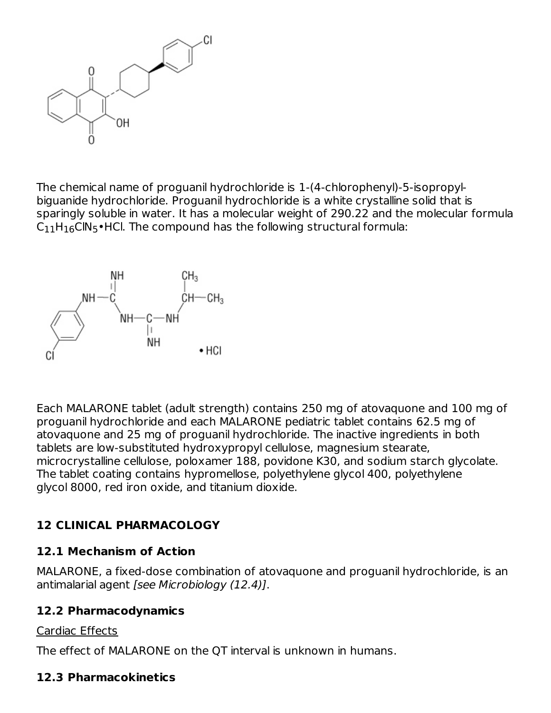

The chemical name of proguanil hydrochloride is 1-(4-chlorophenyl)-5-isopropylbiguanide hydrochloride. Proguanil hydrochloride is a white crystalline solid that is sparingly soluble in water. It has a molecular weight of 290.22 and the molecular formula  $\mathsf{C}_{11}\mathsf{H}_{16}\mathsf{C}\mathsf{IN}_{5}\bullet\mathsf{HC}$ l. The compound has the following structural formula:



Each MALARONE tablet (adult strength) contains 250 mg of atovaquone and 100 mg of proguanil hydrochloride and each MALARONE pediatric tablet contains 62.5 mg of atovaquone and 25 mg of proguanil hydrochloride. The inactive ingredients in both tablets are low-substituted hydroxypropyl cellulose, magnesium stearate, microcrystalline cellulose, poloxamer 188, povidone K30, and sodium starch glycolate. The tablet coating contains hypromellose, polyethylene glycol 400, polyethylene glycol 8000, red iron oxide, and titanium dioxide.

## **12 CLINICAL PHARMACOLOGY**

## **12.1 Mechanism of Action**

MALARONE, a fixed-dose combination of atovaquone and proguanil hydrochloride, is an antimalarial agent [see Microbiology (12.4)].

### **12.2 Pharmacodynamics**

### Cardiac Effects

The effect of MALARONE on the QT interval is unknown in humans.

### **12.3 Pharmacokinetics**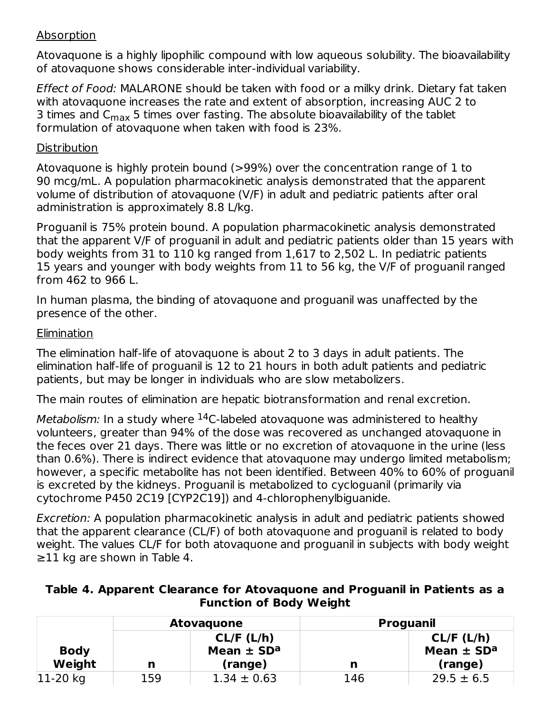#### Absorption

Atovaquone is a highly lipophilic compound with low aqueous solubility. The bioavailability of atovaquone shows considerable inter-individual variability.

Effect of Food: MALARONE should be taken with food or a milky drink. Dietary fat taken with atovaquone increases the rate and extent of absorption, increasing AUC 2 to 3 times and C<sub>max</sub> 5 times over fasting. The absolute bioavailability of the tablet formulation of atovaquone when taken with food is 23%.

#### Distribution

Atovaquone is highly protein bound (>99%) over the concentration range of 1 to 90 mcg/mL. A population pharmacokinetic analysis demonstrated that the apparent volume of distribution of atovaquone (V/F) in adult and pediatric patients after oral administration is approximately 8.8 L/kg.

Proguanil is 75% protein bound. A population pharmacokinetic analysis demonstrated that the apparent V/F of proguanil in adult and pediatric patients older than 15 years with body weights from 31 to 110 kg ranged from 1,617 to 2,502 L. In pediatric patients 15 years and younger with body weights from 11 to 56 kg, the V/F of proguanil ranged from 462 to 966 L.

In human plasma, the binding of atovaquone and proguanil was unaffected by the presence of the other.

#### **Elimination**

The elimination half-life of atovaquone is about 2 to 3 days in adult patients. The elimination half-life of proguanil is 12 to 21 hours in both adult patients and pediatric patients, but may be longer in individuals who are slow metabolizers.

The main routes of elimination are hepatic biotransformation and renal excretion.

*Metabolism:* In a study where  $^{14}$ C-labeled atovaquone was administered to healthy volunteers, greater than 94% of the dose was recovered as unchanged atovaquone in the feces over 21 days. There was little or no excretion of atovaquone in the urine (less than 0.6%). There is indirect evidence that atovaquone may undergo limited metabolism; however, a specific metabolite has not been identified. Between 40% to 60% of proguanil is excreted by the kidneys. Proguanil is metabolized to cycloguanil (primarily via cytochrome P450 2C19 [CYP2C19]) and 4-chlorophenylbiguanide.

Excretion: A population pharmacokinetic analysis in adult and pediatric patients showed that the apparent clearance (CL/F) of both atovaquone and proguanil is related to body weight. The values CL/F for both atovaquone and proguanil in subjects with body weight  $\geq$ 11 kg are shown in Table 4.

#### **Table 4. Apparent Clearance for Atovaquone and Proguanil in Patients as a Function of Body Weight**

|                       | <b>Atovaguone</b> |                                                     | <b>Proguanil</b> |                                                     |  |
|-----------------------|-------------------|-----------------------------------------------------|------------------|-----------------------------------------------------|--|
| <b>Body</b><br>Weight | n                 | CL/F (L/h)<br>Mean $\pm$ SD <sup>a</sup><br>(range) | n                | CL/F (L/h)<br>Mean $\pm$ SD <sup>a</sup><br>(range) |  |
| $ 11-20$ kg           | 159               | $1.34 \pm 0.63$                                     | 146              | $29.5 \pm 6.5$                                      |  |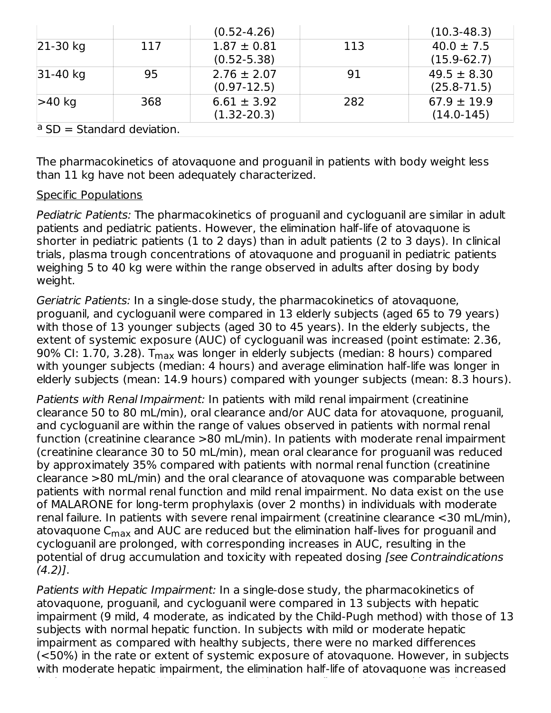|                              |     | $(0.52 - 4.26)$ |     | $(10.3 - 48.3)$ |
|------------------------------|-----|-----------------|-----|-----------------|
| $ 21-30$ kg                  | 117 | $1.87 \pm 0.81$ | 113 | $40.0 \pm 7.5$  |
|                              |     | $(0.52 - 5.38)$ |     | $(15.9-62.7)$   |
| $31-40$ kg                   | 95  | $2.76 \pm 2.07$ | 91  | $49.5 \pm 8.30$ |
|                              |     | $(0.97-12.5)$   |     | $(25.8 - 71.5)$ |
| $>40$ kg                     | 368 | $6.61 \pm 3.92$ | 282 | $67.9 \pm 19.9$ |
|                              |     | $(1.32 - 20.3)$ |     | $(14.0-145)$    |
| $a$ SD = Standard deviation. |     |                 |     |                 |

The pharmacokinetics of atovaquone and proguanil in patients with body weight less than 11 kg have not been adequately characterized.

#### Specific Populations

Pediatric Patients: The pharmacokinetics of proguanil and cycloguanil are similar in adult patients and pediatric patients. However, the elimination half-life of atovaquone is shorter in pediatric patients (1 to 2 days) than in adult patients (2 to 3 days). In clinical trials, plasma trough concentrations of atovaquone and proguanil in pediatric patients weighing 5 to 40 kg were within the range observed in adults after dosing by body weight.

Geriatric Patients: In a single-dose study, the pharmacokinetics of atovaquone, proguanil, and cycloguanil were compared in 13 elderly subjects (aged 65 to 79 years) with those of 13 younger subjects (aged 30 to 45 years). In the elderly subjects, the extent of systemic exposure (AUC) of cycloguanil was increased (point estimate: 2.36, 90% Cl: 1.70, 3.28). T<sub>max</sub> was longer in elderly subjects (median: 8 hours) compared with younger subjects (median: 4 hours) and average elimination half-life was longer in elderly subjects (mean: 14.9 hours) compared with younger subjects (mean: 8.3 hours).

Patients with Renal Impairment: In patients with mild renal impairment (creatinine clearance 50 to 80 mL/min), oral clearance and/or AUC data for atovaquone, proguanil, and cycloguanil are within the range of values observed in patients with normal renal function (creatinine clearance >80 mL/min). In patients with moderate renal impairment (creatinine clearance 30 to 50 mL/min), mean oral clearance for proguanil was reduced by approximately 35% compared with patients with normal renal function (creatinine clearance >80 mL/min) and the oral clearance of atovaquone was comparable between patients with normal renal function and mild renal impairment. No data exist on the use of MALARONE for long-term prophylaxis (over 2 months) in individuals with moderate renal failure. In patients with severe renal impairment (creatinine clearance <30 mL/min), atovaquone C<sub>max</sub> and AUC are reduced but the elimination half-lives for proguanil and cycloguanil are prolonged, with corresponding increases in AUC, resulting in the potential of drug accumulation and toxicity with repeated dosing [see Contraindications  $(4.2)$ ].

Patients with Hepatic Impairment: In a single-dose study, the pharmacokinetics of atovaquone, proguanil, and cycloguanil were compared in 13 subjects with hepatic impairment (9 mild, 4 moderate, as indicated by the Child-Pugh method) with those of 13 subjects with normal hepatic function. In subjects with mild or moderate hepatic impairment as compared with healthy subjects, there were no marked differences (<50%) in the rate or extent of systemic exposure of atovaquone. However, in subjects with moderate hepatic impairment, the elimination half-life of atovaquone was increased

(point estimate: 1.28, 90% CI: 1.00 to 1.63). Proguanil AUC, C , and its elimination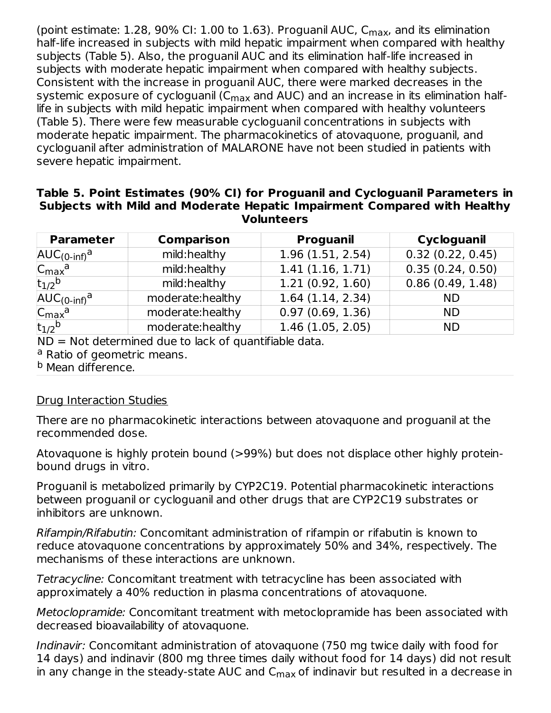(point estimate:  $1.28$ ,  $90\%$  CI:  $1.00$  to  $1.63$ ). Proguanil AUC,  $C_{\sf max}$ , and its elimination half-life increased in subjects with mild hepatic impairment when compared with healthy subjects (Table 5). Also, the proguanil AUC and its elimination half-life increased in subjects with moderate hepatic impairment when compared with healthy subjects. Consistent with the increase in proguanil AUC, there were marked decreases in the systemic exposure of cycloguanil (C<sub>max</sub> and AUC) and an increase in its elimination halflife in subjects with mild hepatic impairment when compared with healthy volunteers (Table 5). There were few measurable cycloguanil concentrations in subjects with moderate hepatic impairment. The pharmacokinetics of atovaquone, proguanil, and cycloguanil after administration of MALARONE have not been studied in patients with severe hepatic impairment.

#### **Table 5. Point Estimates (90% CI) for Proguanil and Cycloguanil Parameters in Subjects with Mild and Moderate Hepatic Impairment Compared with Healthy Volunteers**

| <b>Parameter</b>            | <b>Comparison</b> | <b>Proguanil</b> | Cycloguanil      |
|-----------------------------|-------------------|------------------|------------------|
| $AUC_{(0\text{-inf})}^a$    | mild:healthy      | 1.96(1.51, 2.54) | 0.32(0.22, 0.45) |
| $C_{\text{max}}^{\text{a}}$ | mild:healthy      | 1.41(1.16, 1.71) | 0.35(0.24, 0.50) |
| $t_{1/2}$ <sub>b</sub>      | mild:healthy      | 1.21(0.92, 1.60) | 0.86(0.49, 1.48) |
| $AUC(0-inf)a$               | moderate:healthy  | 1.64(1.14, 2.34) | <b>ND</b>        |
| $C_{\text{max}}^{\text{a}}$ | moderate:healthy  | 0.97(0.69, 1.36) | <b>ND</b>        |
| $t_{1/2}$ <sub>b</sub>      | moderate:healthy  | 1.46(1.05, 2.05) | <b>ND</b>        |

 $ND = Not$  determined due to lack of quantifiable data.

<sup>a</sup> Ratio of geometric means.

<sup>b</sup> Mean difference.

#### Drug Interaction Studies

There are no pharmacokinetic interactions between atovaquone and proguanil at the recommended dose.

Atovaquone is highly protein bound (>99%) but does not displace other highly proteinbound drugs in vitro.

Proguanil is metabolized primarily by CYP2C19. Potential pharmacokinetic interactions between proguanil or cycloguanil and other drugs that are CYP2C19 substrates or inhibitors are unknown.

Rifampin/Rifabutin: Concomitant administration of rifampin or rifabutin is known to reduce atovaquone concentrations by approximately 50% and 34%, respectively. The mechanisms of these interactions are unknown.

Tetracycline: Concomitant treatment with tetracycline has been associated with approximately a 40% reduction in plasma concentrations of atovaquone.

Metoclopramide: Concomitant treatment with metoclopramide has been associated with decreased bioavailability of atovaquone.

Indinavir: Concomitant administration of atovaquone (750 mg twice daily with food for 14 days) and indinavir (800 mg three times daily without food for 14 days) did not result in any change in the steady-state AUC and  $\mathsf{C}_{\mathsf{max}}$  of indinavir but resulted in a decrease in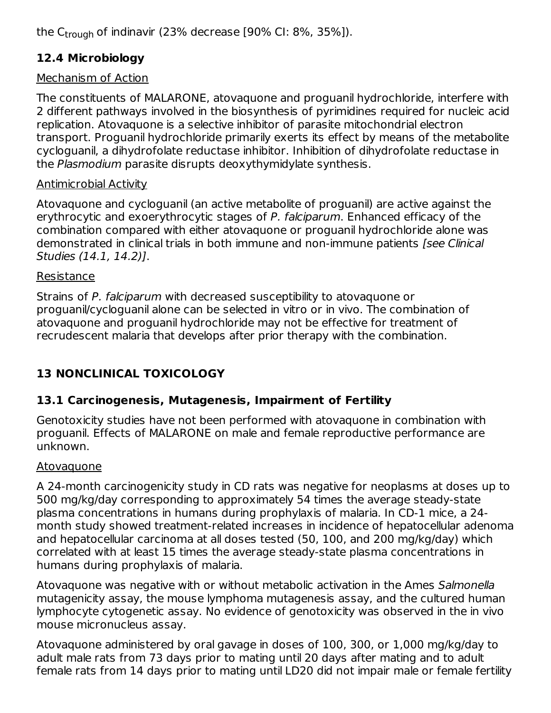the C<sub>trough</sub> of indinavir (23% decrease [90% CI: 8%, 35%]).

## **12.4 Microbiology**

## Mechanism of Action

The constituents of MALARONE, atovaquone and proguanil hydrochloride, interfere with 2 different pathways involved in the biosynthesis of pyrimidines required for nucleic acid replication. Atovaquone is a selective inhibitor of parasite mitochondrial electron transport. Proguanil hydrochloride primarily exerts its effect by means of the metabolite cycloguanil, a dihydrofolate reductase inhibitor. Inhibition of dihydrofolate reductase in the Plasmodium parasite disrupts deoxythymidylate synthesis.

### Antimicrobial Activity

Atovaquone and cycloguanil (an active metabolite of proguanil) are active against the erythrocytic and exoerythrocytic stages of P. falciparum. Enhanced efficacy of the combination compared with either atovaquone or proguanil hydrochloride alone was demonstrated in clinical trials in both immune and non-immune patients [see Clinical Studies (14.1, 14.2)].

#### Resistance

Strains of P. falciparum with decreased susceptibility to atovaquone or proguanil/cycloguanil alone can be selected in vitro or in vivo. The combination of atovaquone and proguanil hydrochloride may not be effective for treatment of recrudescent malaria that develops after prior therapy with the combination.

## **13 NONCLINICAL TOXICOLOGY**

## **13.1 Carcinogenesis, Mutagenesis, Impairment of Fertility**

Genotoxicity studies have not been performed with atovaquone in combination with proguanil. Effects of MALARONE on male and female reproductive performance are unknown.

### Atovaquone

A 24-month carcinogenicity study in CD rats was negative for neoplasms at doses up to 500 mg/kg/day corresponding to approximately 54 times the average steady-state plasma concentrations in humans during prophylaxis of malaria. In CD-1 mice, a 24 month study showed treatment-related increases in incidence of hepatocellular adenoma and hepatocellular carcinoma at all doses tested (50, 100, and 200 mg/kg/day) which correlated with at least 15 times the average steady-state plasma concentrations in humans during prophylaxis of malaria.

Atovaquone was negative with or without metabolic activation in the Ames Salmonella mutagenicity assay, the mouse lymphoma mutagenesis assay, and the cultured human lymphocyte cytogenetic assay. No evidence of genotoxicity was observed in the in vivo mouse micronucleus assay.

Atovaquone administered by oral gavage in doses of 100, 300, or 1,000 mg/kg/day to adult male rats from 73 days prior to mating until 20 days after mating and to adult female rats from 14 days prior to mating until LD20 did not impair male or female fertility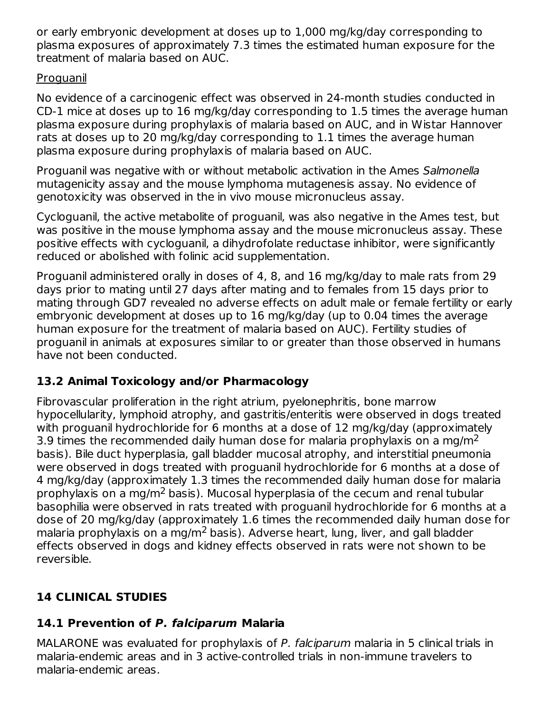or early embryonic development at doses up to 1,000 mg/kg/day corresponding to plasma exposures of approximately 7.3 times the estimated human exposure for the treatment of malaria based on AUC.

### **Proguanil**

No evidence of a carcinogenic effect was observed in 24-month studies conducted in CD-1 mice at doses up to 16 mg/kg/day corresponding to 1.5 times the average human plasma exposure during prophylaxis of malaria based on AUC, and in Wistar Hannover rats at doses up to 20 mg/kg/day corresponding to 1.1 times the average human plasma exposure during prophylaxis of malaria based on AUC.

Proguanil was negative with or without metabolic activation in the Ames Salmonella mutagenicity assay and the mouse lymphoma mutagenesis assay. No evidence of genotoxicity was observed in the in vivo mouse micronucleus assay.

Cycloguanil, the active metabolite of proguanil, was also negative in the Ames test, but was positive in the mouse lymphoma assay and the mouse micronucleus assay. These positive effects with cycloguanil, a dihydrofolate reductase inhibitor, were significantly reduced or abolished with folinic acid supplementation.

Proguanil administered orally in doses of 4, 8, and 16 mg/kg/day to male rats from 29 days prior to mating until 27 days after mating and to females from 15 days prior to mating through GD7 revealed no adverse effects on adult male or female fertility or early embryonic development at doses up to 16 mg/kg/day (up to 0.04 times the average human exposure for the treatment of malaria based on AUC). Fertility studies of proguanil in animals at exposures similar to or greater than those observed in humans have not been conducted.

## **13.2 Animal Toxicology and/or Pharmacology**

Fibrovascular proliferation in the right atrium, pyelonephritis, bone marrow hypocellularity, lymphoid atrophy, and gastritis/enteritis were observed in dogs treated with proguanil hydrochloride for 6 months at a dose of 12 mg/kg/day (approximately 3.9 times the recommended daily human dose for malaria prophylaxis on a mg/m<sup>2</sup> basis). Bile duct hyperplasia, gall bladder mucosal atrophy, and interstitial pneumonia were observed in dogs treated with proguanil hydrochloride for 6 months at a dose of 4 mg/kg/day (approximately 1.3 times the recommended daily human dose for malaria prophylaxis on a mg/m<sup>2</sup> basis). Mucosal hyperplasia of the cecum and renal tubular basophilia were observed in rats treated with proguanil hydrochloride for 6 months at a dose of 20 mg/kg/day (approximately 1.6 times the recommended daily human dose for malaria prophylaxis on a mg/m<sup>2</sup> basis). Adverse heart, lung, liver, and gall bladder effects observed in dogs and kidney effects observed in rats were not shown to be reversible.

## **14 CLINICAL STUDIES**

### **14.1 Prevention of P. falciparum Malaria**

MALARONE was evaluated for prophylaxis of P. falciparum malaria in 5 clinical trials in malaria-endemic areas and in 3 active-controlled trials in non-immune travelers to malaria-endemic areas.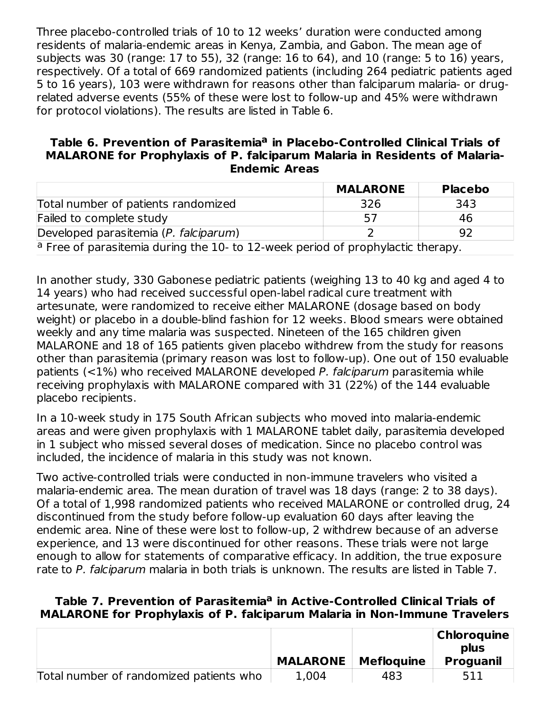Three placebo-controlled trials of 10 to 12 weeks' duration were conducted among residents of malaria-endemic areas in Kenya, Zambia, and Gabon. The mean age of subjects was 30 (range: 17 to 55), 32 (range: 16 to 64), and 10 (range: 5 to 16) years, respectively. Of a total of 669 randomized patients (including 264 pediatric patients aged 5 to 16 years), 103 were withdrawn for reasons other than falciparum malaria- or drugrelated adverse events (55% of these were lost to follow-up and 45% were withdrawn for protocol violations). The results are listed in Table 6.

#### **Table 6. Prevention of Parasitemia in Placebo-Controlled Clinical Trials of a MALARONE for Prophylaxis of P. falciparum Malaria in Residents of Malaria-Endemic Areas**

|                                                                                            | <b>MALARONE</b> | <b>Placebo</b> |  |  |
|--------------------------------------------------------------------------------------------|-----------------|----------------|--|--|
| Total number of patients randomized                                                        | 326             | 343            |  |  |
| Failed to complete study                                                                   | 57              | 46             |  |  |
| Developed parasitemia (P. falciparum)                                                      |                 | 92             |  |  |
| <sup>a</sup> Free of parasitemia during the 10- to 12-week period of prophylactic therapy. |                 |                |  |  |

In another study, 330 Gabonese pediatric patients (weighing 13 to 40 kg and aged 4 to 14 years) who had received successful open-label radical cure treatment with artesunate, were randomized to receive either MALARONE (dosage based on body weight) or placebo in a double-blind fashion for 12 weeks. Blood smears were obtained weekly and any time malaria was suspected. Nineteen of the 165 children given MALARONE and 18 of 165 patients given placebo withdrew from the study for reasons other than parasitemia (primary reason was lost to follow-up). One out of 150 evaluable patients  $(<1%)$  who received MALARONE developed P. falciparum parasitemia while receiving prophylaxis with MALARONE compared with 31 (22%) of the 144 evaluable placebo recipients.

In a 10-week study in 175 South African subjects who moved into malaria-endemic areas and were given prophylaxis with 1 MALARONE tablet daily, parasitemia developed in 1 subject who missed several doses of medication. Since no placebo control was included, the incidence of malaria in this study was not known.

Two active-controlled trials were conducted in non-immune travelers who visited a malaria-endemic area. The mean duration of travel was 18 days (range: 2 to 38 days). Of a total of 1,998 randomized patients who received MALARONE or controlled drug, 24 discontinued from the study before follow-up evaluation 60 days after leaving the endemic area. Nine of these were lost to follow-up, 2 withdrew because of an adverse experience, and 13 were discontinued for other reasons. These trials were not large enough to allow for statements of comparative efficacy. In addition, the true exposure rate to P. falciparum malaria in both trials is unknown. The results are listed in Table 7.

#### **Table 7. Prevention of Parasitemia in Active-Controlled Clinical Trials of aMALARONE for Prophylaxis of P. falciparum Malaria in Non-Immune Travelers**

|                                         |                 |                   | <b>Chloroquine</b>       |
|-----------------------------------------|-----------------|-------------------|--------------------------|
|                                         | <b>MALARONE</b> | <b>Mefloquine</b> | plus<br><b>Proguanil</b> |
| Total number of randomized patients who | 1,004           | 483               |                          |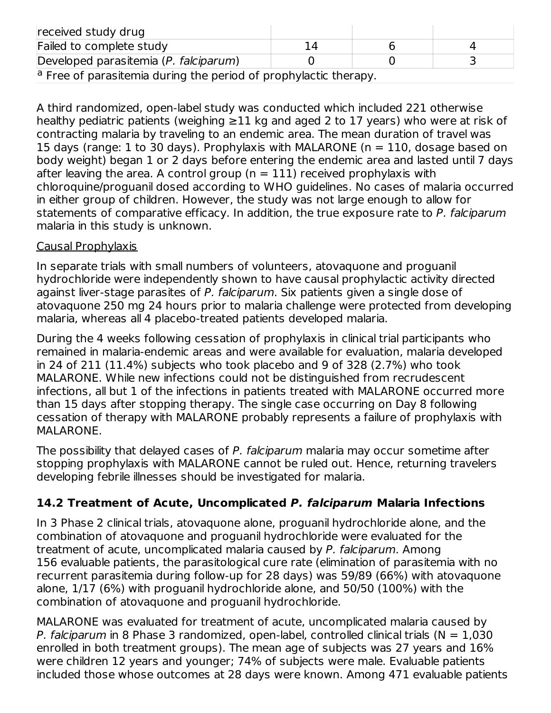| received study drug                   |                                                                             |  |  |  |  |  |
|---------------------------------------|-----------------------------------------------------------------------------|--|--|--|--|--|
| Failed to complete study              | 14                                                                          |  |  |  |  |  |
| Developed parasitemia (P. falciparum) |                                                                             |  |  |  |  |  |
|                                       | <sup>a</sup> Free of parasitemia during the period of prophylactic therapy. |  |  |  |  |  |

A third randomized, open-label study was conducted which included 221 otherwise healthy pediatric patients (weighing ≥11 kg and aged 2 to 17 years) who were at risk of contracting malaria by traveling to an endemic area. The mean duration of travel was 15 days (range: 1 to 30 days). Prophylaxis with MALARONE (n = 110, dosage based on body weight) began 1 or 2 days before entering the endemic area and lasted until 7 days after leaving the area. A control group ( $n = 111$ ) received prophylaxis with chloroquine/proguanil dosed according to WHO guidelines. No cases of malaria occurred in either group of children. However, the study was not large enough to allow for statements of comparative efficacy. In addition, the true exposure rate to P. falciparum malaria in this study is unknown.

#### Causal Prophylaxis

In separate trials with small numbers of volunteers, atovaquone and proguanil hydrochloride were independently shown to have causal prophylactic activity directed against liver-stage parasites of P. falciparum. Six patients given a single dose of atovaquone 250 mg 24 hours prior to malaria challenge were protected from developing malaria, whereas all 4 placebo-treated patients developed malaria.

During the 4 weeks following cessation of prophylaxis in clinical trial participants who remained in malaria-endemic areas and were available for evaluation, malaria developed in 24 of 211 (11.4%) subjects who took placebo and 9 of 328 (2.7%) who took MALARONE. While new infections could not be distinguished from recrudescent infections, all but 1 of the infections in patients treated with MALARONE occurred more than 15 days after stopping therapy. The single case occurring on Day 8 following cessation of therapy with MALARONE probably represents a failure of prophylaxis with MALARONE.

The possibility that delayed cases of P. falciparum malaria may occur sometime after stopping prophylaxis with MALARONE cannot be ruled out. Hence, returning travelers developing febrile illnesses should be investigated for malaria.

### **14.2 Treatment of Acute, Uncomplicated P. falciparum Malaria Infections**

In 3 Phase 2 clinical trials, atovaquone alone, proguanil hydrochloride alone, and the combination of atovaquone and proguanil hydrochloride were evaluated for the treatment of acute, uncomplicated malaria caused by P. falciparum. Among 156 evaluable patients, the parasitological cure rate (elimination of parasitemia with no recurrent parasitemia during follow-up for 28 days) was 59/89 (66%) with atovaquone alone, 1/17 (6%) with proguanil hydrochloride alone, and 50/50 (100%) with the combination of atovaquone and proguanil hydrochloride.

MALARONE was evaluated for treatment of acute, uncomplicated malaria caused by P. falciparum in 8 Phase 3 randomized, open-label, controlled clinical trials ( $N = 1,030$ enrolled in both treatment groups). The mean age of subjects was 27 years and 16% were children 12 years and younger; 74% of subjects were male. Evaluable patients included those whose outcomes at 28 days were known. Among 471 evaluable patients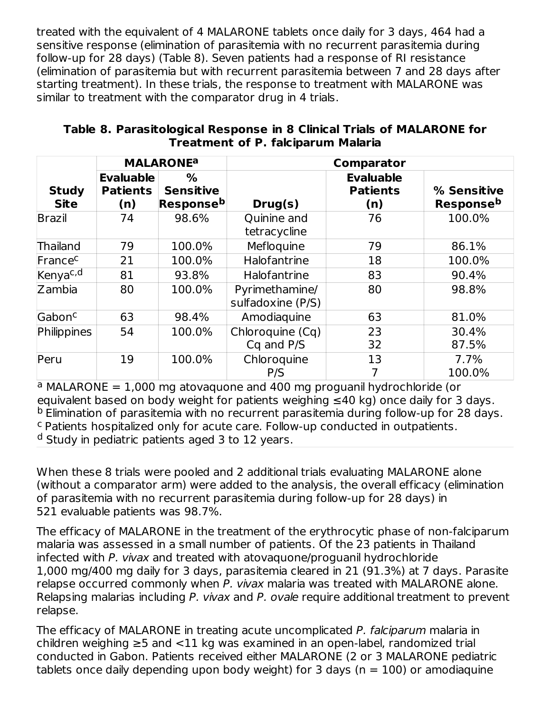treated with the equivalent of 4 MALARONE tablets once daily for 3 days, 464 had a sensitive response (elimination of parasitemia with no recurrent parasitemia during follow-up for 28 days) (Table 8). Seven patients had a response of RI resistance (elimination of parasitemia but with recurrent parasitemia between 7 and 28 days after starting treatment). In these trials, the response to treatment with MALARONE was similar to treatment with the comparator drug in 4 trials.

|                             |                                            | <b>MALARONE<sup>a</sup></b>                    |                                     | Comparator                                 |                                 |
|-----------------------------|--------------------------------------------|------------------------------------------------|-------------------------------------|--------------------------------------------|---------------------------------|
| <b>Study</b><br><b>Site</b> | <b>Evaluable</b><br><b>Patients</b><br>(n) | %<br><b>Sensitive</b><br>Response <sup>b</sup> | Drug(s)                             | <b>Evaluable</b><br><b>Patients</b><br>(n) | % Sensitive<br><b>Responseb</b> |
| <b>Brazil</b>               | 74                                         | 98.6%                                          | <b>Quinine and</b><br>tetracycline  | 76                                         | 100.0%                          |
| Thailand                    | 79                                         | 100.0%                                         | Mefloquine                          | 79                                         | 86.1%                           |
| France <sup>c</sup>         | 21                                         | 100.0%                                         | Halofantrine                        | 18                                         | 100.0%                          |
| Kenya <sup>c,d</sup>        | 81                                         | 93.8%                                          | Halofantrine                        | 83                                         | 90.4%                           |
| Zambia                      | 80                                         | 100.0%                                         | Pyrimethamine/<br>sulfadoxine (P/S) | 80                                         | 98.8%                           |
| Gabon <sup>c</sup>          | 63                                         | 98.4%                                          | Amodiaguine                         | 63                                         | 81.0%                           |
| Philippines                 | 54                                         | 100.0%                                         | Chloroquine (Cq)<br>Cq and P/S      | 23<br>32                                   | 30.4%<br>87.5%                  |
| Peru                        | 19                                         | 100.0%                                         | Chloroquine<br>P/S                  | 13                                         | 7.7%<br>100.0%                  |

#### **Table 8. Parasitological Response in 8 Clinical Trials of MALARONE for Treatment of P. falciparum Malaria**

<sup>a</sup> MALARONE =  $1,000$  mg atovaquone and 400 mg proguanil hydrochloride (or equivalent based on body weight for patients weighing  $\leq 40$  kg) once daily for 3 days. <sup>b</sup> Elimination of parasitemia with no recurrent parasitemia during follow-up for 28 days. <sup>c</sup> Patients hospitalized only for acute care. Follow-up conducted in outpatients. <sup>d</sup> Study in pediatric patients aged 3 to 12 years.

When these 8 trials were pooled and 2 additional trials evaluating MALARONE alone (without a comparator arm) were added to the analysis, the overall efficacy (elimination of parasitemia with no recurrent parasitemia during follow-up for 28 days) in 521 evaluable patients was 98.7%.

The efficacy of MALARONE in the treatment of the erythrocytic phase of non-falciparum malaria was assessed in a small number of patients. Of the 23 patients in Thailand infected with P. vivax and treated with atovaquone/proguanil hydrochloride 1,000 mg/400 mg daily for 3 days, parasitemia cleared in 21 (91.3%) at 7 days. Parasite relapse occurred commonly when P. vivax malaria was treated with MALARONE alone. Relapsing malarias including P. vivax and P. ovale require additional treatment to prevent relapse.

The efficacy of MALARONE in treating acute uncomplicated P. falciparum malaria in children weighing  $\geq$ 5 and <11 kg was examined in an open-label, randomized trial conducted in Gabon. Patients received either MALARONE (2 or 3 MALARONE pediatric tablets once daily depending upon body weight) for 3 days ( $n = 100$ ) or amodiaguine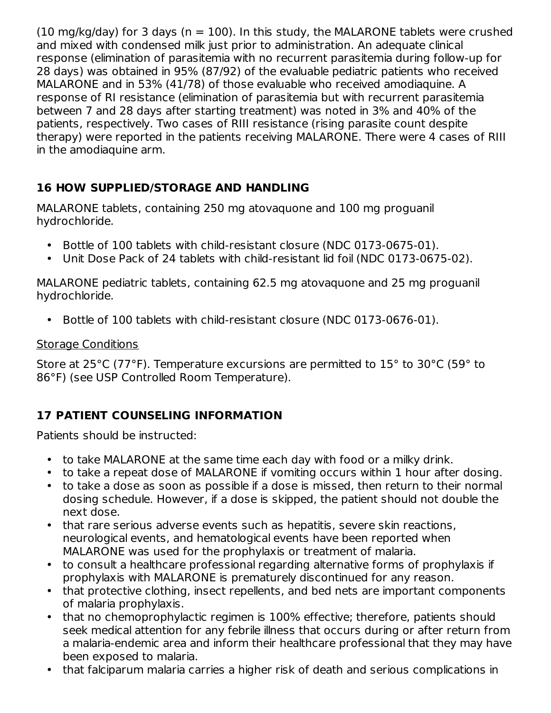(10 mg/kg/day) for 3 days ( $n = 100$ ). In this study, the MALARONE tablets were crushed and mixed with condensed milk just prior to administration. An adequate clinical response (elimination of parasitemia with no recurrent parasitemia during follow-up for 28 days) was obtained in 95% (87/92) of the evaluable pediatric patients who received MALARONE and in 53% (41/78) of those evaluable who received amodiaquine. A response of RI resistance (elimination of parasitemia but with recurrent parasitemia between 7 and 28 days after starting treatment) was noted in 3% and 40% of the patients, respectively. Two cases of RIII resistance (rising parasite count despite therapy) were reported in the patients receiving MALARONE. There were 4 cases of RIII in the amodiaquine arm.

## **16 HOW SUPPLIED/STORAGE AND HANDLING**

MALARONE tablets, containing 250 mg atovaquone and 100 mg proguanil hydrochloride.

- Bottle of 100 tablets with child-resistant closure (NDC 0173-0675-01).
- $\bullet$ Unit Dose Pack of 24 tablets with child-resistant lid foil (NDC 0173-0675-02).

MALARONE pediatric tablets, containing 62.5 mg atovaquone and 25 mg proguanil hydrochloride.

• Bottle of 100 tablets with child-resistant closure (NDC 0173-0676-01).

## Storage Conditions

Store at 25°C (77°F). Temperature excursions are permitted to 15° to 30°C (59° to 86°F) (see USP Controlled Room Temperature).

## **17 PATIENT COUNSELING INFORMATION**

Patients should be instructed:

- to take MALARONE at the same time each day with food or a milky drink.
- to take a repeat dose of MALARONE if vomiting occurs within 1 hour after dosing.
- to take a dose as soon as possible if a dose is missed, then return to their normal dosing schedule. However, if a dose is skipped, the patient should not double the next dose.
- that rare serious adverse events such as hepatitis, severe skin reactions, neurological events, and hematological events have been reported when MALARONE was used for the prophylaxis or treatment of malaria.
- to consult a healthcare professional regarding alternative forms of prophylaxis if prophylaxis with MALARONE is prematurely discontinued for any reason.
- that protective clothing, insect repellents, and bed nets are important components of malaria prophylaxis.
- that no chemoprophylactic regimen is 100% effective; therefore, patients should seek medical attention for any febrile illness that occurs during or after return from a malaria-endemic area and inform their healthcare professional that they may have been exposed to malaria.
- that falciparum malaria carries a higher risk of death and serious complications in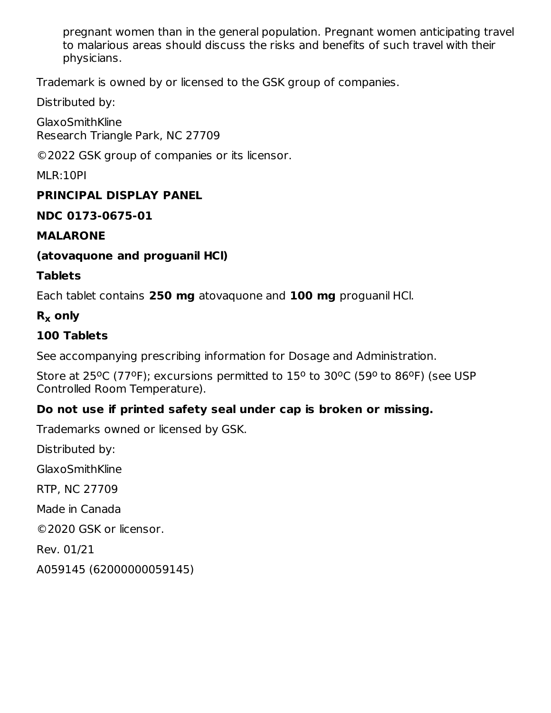pregnant women than in the general population. Pregnant women anticipating travel to malarious areas should discuss the risks and benefits of such travel with their physicians.

Trademark is owned by or licensed to the GSK group of companies.

Distributed by:

**GlaxoSmithKline** Research Triangle Park, NC 27709

©2022 GSK group of companies or its licensor.

MLR:10PI

### **PRINCIPAL DISPLAY PANEL**

#### **NDC 0173-0675-01**

#### **MALARONE**

### **(atovaquone and proguanil HCl)**

#### **Tablets**

Each tablet contains **250 mg** atovaquone and **100 mg** proguanil HCl.

## **R only x**

## **100 Tablets**

See accompanying prescribing information for Dosage and Administration.

Store at 25°C (77°F); excursions permitted to 15° to 30°C (59° to 86°F) (see USP Controlled Room Temperature).

## **Do not use if printed safety seal under cap is broken or missing.**

Trademarks owned or licensed by GSK.

Distributed by:

GlaxoSmithKline

RTP, NC 27709

Made in Canada

©2020 GSK or licensor.

Rev. 01/21

A059145 (62000000059145)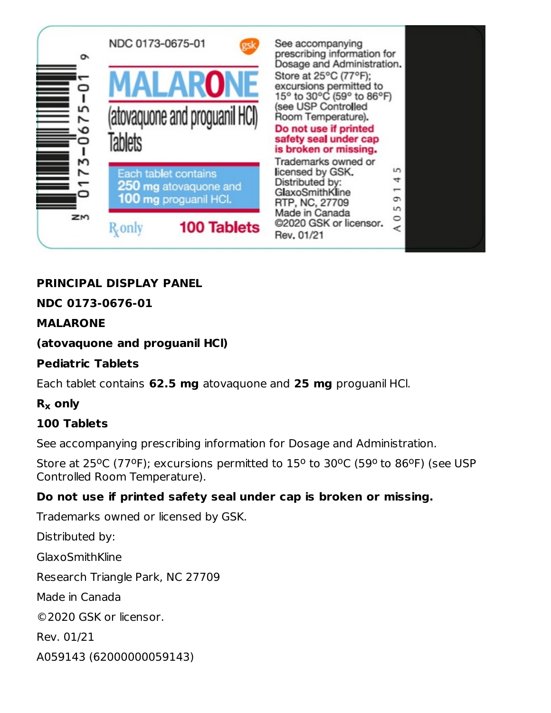

## **PRINCIPAL DISPLAY PANEL**

## **NDC 0173-0676-01**

### **MALARONE**

### **(atovaquone and proguanil HCl)**

#### **Pediatric Tablets**

Each tablet contains **62.5 mg** atovaquone and **25 mg** proguanil HCl.

## **R only x**

### **100 Tablets**

See accompanying prescribing information for Dosage and Administration.

Store at 25°C (77°F); excursions permitted to 15° to 30°C (59° to 86°F) (see USP Controlled Room Temperature).

### **Do not use if printed safety seal under cap is broken or missing.**

Trademarks owned or licensed by GSK.

Distributed by: GlaxoSmithKline Research Triangle Park, NC 27709 Made in Canada ©2020 GSK or licensor. Rev. 01/21 A059143 (62000000059143)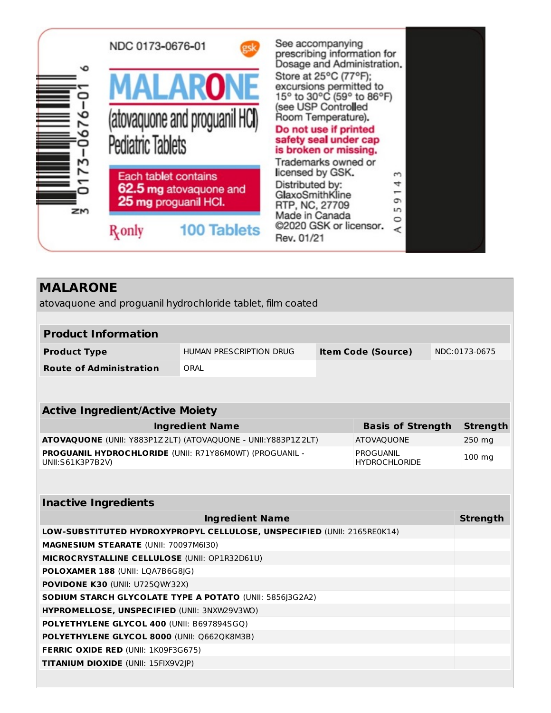

| <b>MALARONE</b>                                                             |                                                          |  |                                   |                 |
|-----------------------------------------------------------------------------|----------------------------------------------------------|--|-----------------------------------|-----------------|
| atovaquone and proguanil hydrochloride tablet, film coated                  |                                                          |  |                                   |                 |
|                                                                             |                                                          |  |                                   |                 |
| <b>Product Information</b>                                                  |                                                          |  |                                   |                 |
| <b>Product Type</b>                                                         | HUMAN PRESCRIPTION DRUG                                  |  | <b>Item Code (Source)</b>         | NDC:0173-0675   |
| <b>Route of Administration</b>                                              | ORAL                                                     |  |                                   |                 |
|                                                                             |                                                          |  |                                   |                 |
|                                                                             |                                                          |  |                                   |                 |
| <b>Active Ingredient/Active Moiety</b>                                      |                                                          |  |                                   |                 |
|                                                                             | <b>Ingredient Name</b>                                   |  | <b>Basis of Strength</b>          | <b>Strength</b> |
| ATOVAQUONE (UNII: Y883P1Z2LT) (ATOVAQUONE - UNII: Y883P1Z2LT)               |                                                          |  | <b>ATOVAQUONE</b>                 | 250 mg          |
| PROGUANIL HYDROCHLORIDE (UNII: R71Y86M0WT) (PROGUANIL -<br>UNII:S61K3P7B2V) |                                                          |  | PROGUANIL<br><b>HYDROCHLORIDE</b> | 100 mg          |
|                                                                             |                                                          |  |                                   |                 |
| <b>Inactive Ingredients</b>                                                 |                                                          |  |                                   |                 |
|                                                                             | <b>Ingredient Name</b>                                   |  |                                   | <b>Strength</b> |
| LOW-SUBSTITUTED HYDROXYPROPYL CELLULOSE, UNSPECIFIED (UNII: 2165RE0K14)     |                                                          |  |                                   |                 |
| MAGNESIUM STEARATE (UNII: 70097M6I30)                                       |                                                          |  |                                   |                 |
| MICROCRYSTALLINE CELLULOSE (UNII: OP1R32D61U)                               |                                                          |  |                                   |                 |
| POLOXAMER 188 (UNII: LQA7B6G8JG)                                            |                                                          |  |                                   |                 |
| <b>POVIDONE K30 (UNII: U725QWY32X)</b>                                      |                                                          |  |                                   |                 |
|                                                                             | SODIUM STARCH GLYCOLATE TYPE A POTATO (UNII: 5856 3G2A2) |  |                                   |                 |
| HYPROMELLOSE, UNSPECIFIED (UNII: 3NXW29V3WO)                                |                                                          |  |                                   |                 |
| POLYETHYLENE GLYCOL 400 (UNII: B697894SGQ)                                  |                                                          |  |                                   |                 |
| POLYETHYLENE GLYCOL 8000 (UNII: Q662QK8M3B)                                 |                                                          |  |                                   |                 |

**FERRIC OXIDE RED** (UNII: 1K09F3G675) **TITANIUM DIOXIDE** (UNII: 15FIX9V2JP)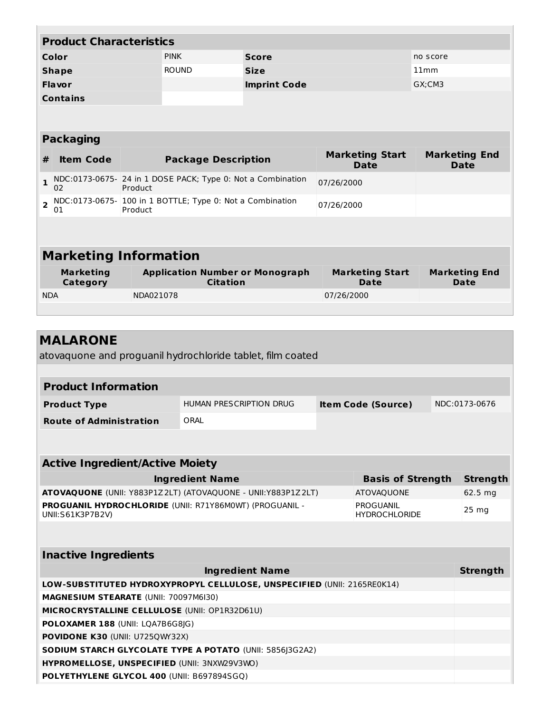|                | <b>Product Characteristics</b>      |              |                                                             |                     |                                       |                                     |  |
|----------------|-------------------------------------|--------------|-------------------------------------------------------------|---------------------|---------------------------------------|-------------------------------------|--|
| Color          |                                     | <b>PINK</b>  | <b>Score</b>                                                |                     | no score                              |                                     |  |
| <b>Shape</b>   |                                     | <b>ROUND</b> | <b>Size</b>                                                 |                     | 11mm                                  |                                     |  |
| <b>Flavor</b>  |                                     |              |                                                             | <b>Imprint Code</b> |                                       | GX:CM3                              |  |
|                | <b>Contains</b>                     |              |                                                             |                     |                                       |                                     |  |
|                |                                     |              |                                                             |                     |                                       |                                     |  |
|                | <b>Packaging</b>                    |              |                                                             |                     |                                       |                                     |  |
| #              | <b>Item Code</b>                    |              | <b>Package Description</b>                                  |                     | <b>Marketing Start</b><br>Date        | <b>Marketing End</b><br><b>Date</b> |  |
| $\mathbf{1}$   | 02                                  | Product      | NDC:0173-0675- 24 in 1 DOSE PACK; Type 0: Not a Combination |                     | 07/26/2000                            |                                     |  |
| $\overline{2}$ | 01                                  | Product      | NDC:0173-0675- 100 in 1 BOTTLE; Type 0: Not a Combination   |                     | 07/26/2000                            |                                     |  |
|                |                                     |              |                                                             |                     |                                       |                                     |  |
|                | <b>Marketing Information</b>        |              |                                                             |                     |                                       |                                     |  |
|                | <b>Marketing</b><br><b>Category</b> |              | <b>Application Number or Monograph</b><br><b>Citation</b>   |                     | <b>Marketing Start</b><br><b>Date</b> | <b>Marketing End</b><br>Date        |  |
| <b>NDA</b>     |                                     |              | NDA021078                                                   |                     | 07/26/2000                            |                                     |  |
|                |                                     |              |                                                             |                     |                                       |                                     |  |

| <b>MALARONE</b>                                                             |                                |                                   |  |                 |
|-----------------------------------------------------------------------------|--------------------------------|-----------------------------------|--|-----------------|
| atovaguone and proguanil hydrochloride tablet, film coated                  |                                |                                   |  |                 |
|                                                                             |                                |                                   |  |                 |
| <b>Product Information</b>                                                  |                                |                                   |  |                 |
| <b>Product Type</b>                                                         | <b>HUMAN PRESCRIPTION DRUG</b> | <b>Item Code (Source)</b>         |  | NDC:0173-0676   |
| <b>Route of Administration</b>                                              | ORAI                           |                                   |  |                 |
|                                                                             |                                |                                   |  |                 |
|                                                                             |                                |                                   |  |                 |
| <b>Active Ingredient/Active Moiety</b>                                      |                                |                                   |  |                 |
|                                                                             | <b>Ingredient Name</b>         | <b>Basis of Strength</b>          |  | <b>Strength</b> |
| ATOVAQUONE (UNII: Y883P1Z2LT) (ATOVAQUONE - UNII:Y883P1Z2LT)                |                                | <b>ATOVAQUONE</b>                 |  | 62.5 mg         |
| PROGUANIL HYDROCHLORIDE (UNII: R71Y86M0WT) (PROGUANIL -<br>UNII:S61K3P7B2V) |                                | PROGUANIL<br><b>HYDROCHLORIDE</b> |  | 25 mg           |
|                                                                             |                                |                                   |  |                 |
| <b>Inactive Ingredients</b>                                                 |                                |                                   |  |                 |
|                                                                             | <b>Ingredient Name</b>         |                                   |  | <b>Strength</b> |
| LOW-SUBSTITUTED HYDROXYPROPYL CELLULOSE, UNSPECIFIED (UNII: 2165RE0K14)     |                                |                                   |  |                 |
| <b>MAGNESIUM STEARATE (UNII: 70097M6I30)</b>                                |                                |                                   |  |                 |
| MICROCRYSTALLINE CELLULOSE (UNII: OP1R32D61U)                               |                                |                                   |  |                 |
| POLOXAMER 188 (UNII: LQA7B6G8JG)                                            |                                |                                   |  |                 |
| <b>POVIDONE K30 (UNII: U725QWY32X)</b>                                      |                                |                                   |  |                 |
| <b>SODIUM STARCH GLYCOLATE TYPE A POTATO (UNII: 5856J3G2A2)</b>             |                                |                                   |  |                 |
| HYPROMELLOSE, UNSPECIFIED (UNII: 3NXW29V3WO)                                |                                |                                   |  |                 |

**POLYETHYLENE GLYCOL 400** (UNII: B697894SGQ)